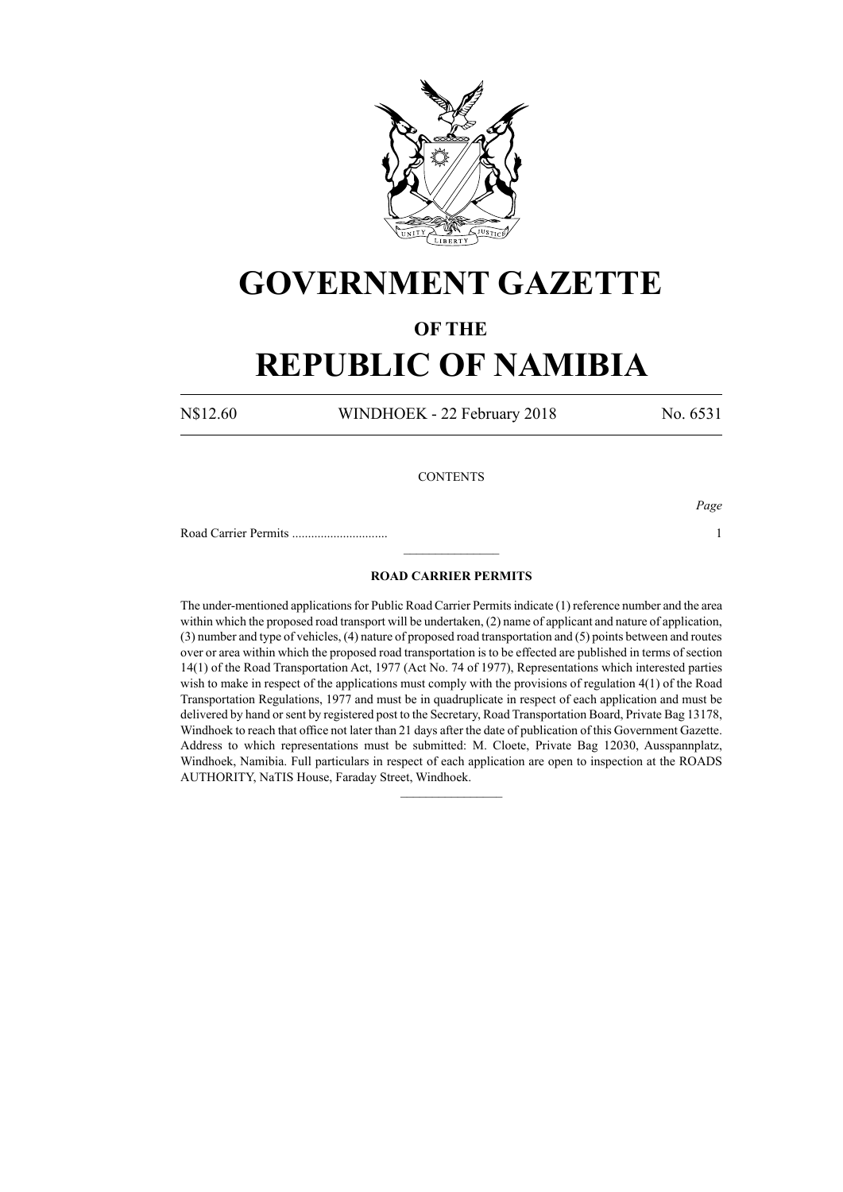

## **GOVERNMENT GAZETTE**

### **OF THE**

# **REPUBLIC OF NAMIBIA**

N\$12.60 WINDHOEK - 22 February 2018 No. 6531

*Page*

### **CONTENTS**

Road Carrier Permits .............................. 1

#### **ROAD CARRIER PERMITS**

 $\frac{1}{2}$ 

The under-mentioned applications for Public Road Carrier Permits indicate (1) reference number and the area within which the proposed road transport will be undertaken, (2) name of applicant and nature of application, (3) number and type of vehicles, (4) nature of proposed road transportation and (5) points between and routes over or area within which the proposed road transportation is to be effected are published in terms of section 14(1) of the Road Transportation Act, 1977 (Act No. 74 of 1977), Representations which interested parties wish to make in respect of the applications must comply with the provisions of regulation 4(1) of the Road Transportation Regulations, 1977 and must be in quadruplicate in respect of each application and must be delivered by hand or sent by registered post to the Secretary, Road Transportation Board, Private Bag 13178, Windhoek to reach that office not later than 21 days after the date of publication of this Government Gazette. Address to which representations must be submitted: M. Cloete, Private Bag 12030, Ausspannplatz, Windhoek, Namibia. Full particulars in respect of each application are open to inspection at the ROADS AUTHORITY, NaTIS House, Faraday Street, Windhoek.

 $\frac{1}{2}$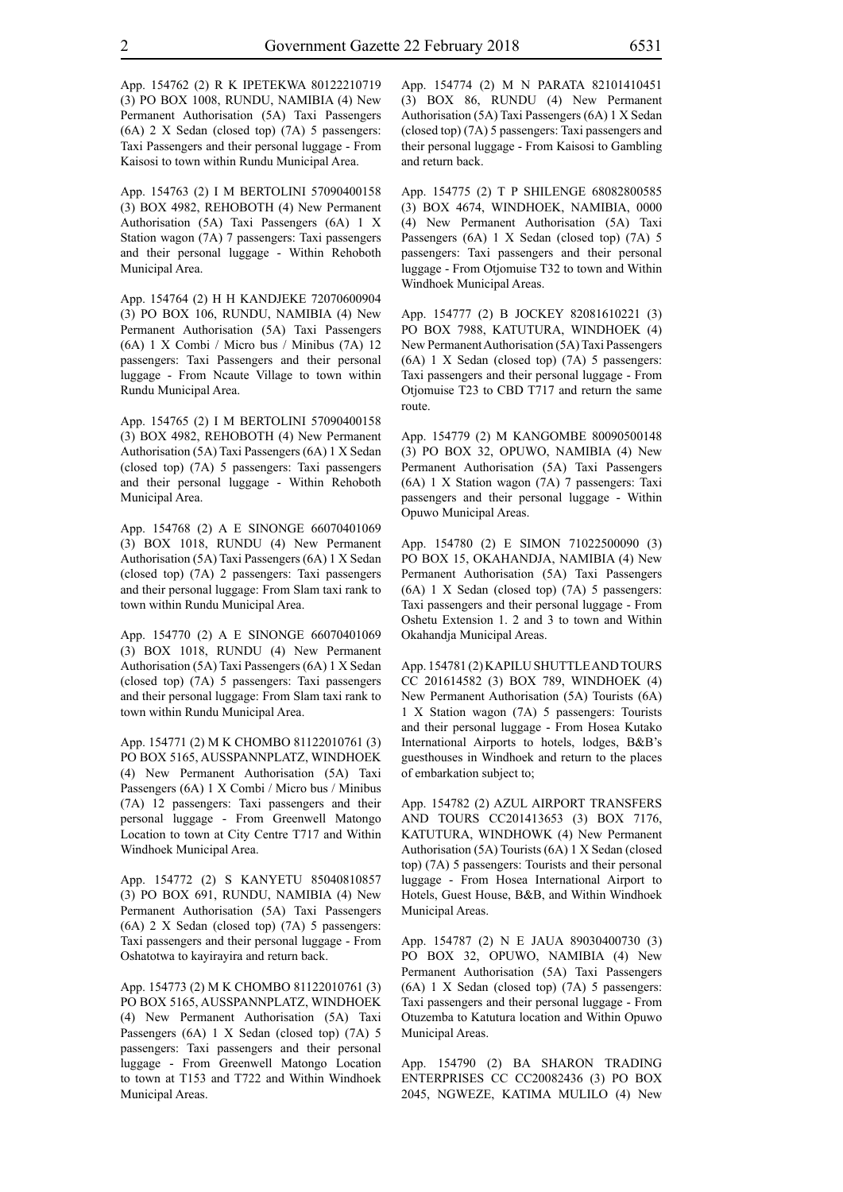App. 154763 (2) I M BERTOLINI 57090400158 (3) BOX 4982, REHOBOTH (4) New Permanent Authorisation (5A) Taxi Passengers (6A) 1 X Station wagon (7A) 7 passengers: Taxi passengers and their personal luggage - Within Rehoboth Municipal Area.

App. 154764 (2) H H KANDJEKE 72070600904 (3) PO BOX 106, RUNDU, NAMIBIA (4) New Permanent Authorisation (5A) Taxi Passengers (6A) 1 X Combi / Micro bus / Minibus (7A) 12 passengers: Taxi Passengers and their personal luggage - From Ncaute Village to town within Rundu Municipal Area.

App. 154765 (2) I M BERTOLINI 57090400158 (3) BOX 4982, REHOBOTH (4) New Permanent Authorisation (5A) Taxi Passengers (6A) 1 X Sedan (closed top) (7A) 5 passengers: Taxi passengers and their personal luggage - Within Rehoboth Municipal Area.

App. 154768 (2) A E SINONGE 66070401069 (3) BOX 1018, RUNDU (4) New Permanent Authorisation (5A) Taxi Passengers (6A) 1 X Sedan (closed top) (7A) 2 passengers: Taxi passengers and their personal luggage: From Slam taxi rank to town within Rundu Municipal Area.

App. 154770 (2) A E SINONGE 66070401069 (3) BOX 1018, RUNDU (4) New Permanent Authorisation (5A) Taxi Passengers (6A) 1 X Sedan (closed top) (7A) 5 passengers: Taxi passengers and their personal luggage: From Slam taxi rank to town within Rundu Municipal Area.

App. 154771 (2) M K CHOMBO 81122010761 (3) PO BOX 5165, AUSSPANNPLATZ, WINDHOEK (4) New Permanent Authorisation (5A) Taxi Passengers (6A) 1 X Combi / Micro bus / Minibus (7A) 12 passengers: Taxi passengers and their personal luggage - From Greenwell Matongo Location to town at City Centre T717 and Within Windhoek Municipal Area.

App. 154772 (2) S KANYETU 85040810857 (3) PO BOX 691, RUNDU, NAMIBIA (4) New Permanent Authorisation (5A) Taxi Passengers (6A) 2 X Sedan (closed top) (7A) 5 passengers: Taxi passengers and their personal luggage - From Oshatotwa to kayirayira and return back.

App. 154773 (2) M K CHOMBO 81122010761 (3) PO BOX 5165, AUSSPANNPLATZ, WINDHOEK (4) New Permanent Authorisation (5A) Taxi Passengers (6A) 1 X Sedan (closed top) (7A) 5 passengers: Taxi passengers and their personal luggage - From Greenwell Matongo Location to town at T153 and T722 and Within Windhoek Municipal Areas.

App. 154774 (2) M N PARATA 82101410451 (3) BOX 86, RUNDU (4) New Permanent Authorisation (5A) Taxi Passengers (6A) 1 X Sedan (closed top) (7A) 5 passengers: Taxi passengers and their personal luggage - From Kaisosi to Gambling and return back.

App. 154775 (2) T P SHILENGE 68082800585 (3) BOX 4674, WINDHOEK, NAMIBIA, 0000 (4) New Permanent Authorisation (5A) Taxi Passengers (6A) 1 X Sedan (closed top) (7A) 5 passengers: Taxi passengers and their personal luggage - From Otjomuise T32 to town and Within Windhoek Municipal Areas.

App. 154777 (2) B JOCKEY 82081610221 (3) PO BOX 7988, KATUTURA, WINDHOEK (4) New Permanent Authorisation (5A) Taxi Passengers (6A) 1 X Sedan (closed top) (7A) 5 passengers: Taxi passengers and their personal luggage - From Otjomuise T23 to CBD T717 and return the same route.

App. 154779 (2) M KANGOMBE 80090500148 (3) PO BOX 32, OPUWO, NAMIBIA (4) New Permanent Authorisation (5A) Taxi Passengers (6A) 1 X Station wagon (7A) 7 passengers: Taxi passengers and their personal luggage - Within Opuwo Municipal Areas.

App. 154780 (2) E SIMON 71022500090 (3) PO BOX 15, OKAHANDJA, NAMIBIA (4) New Permanent Authorisation (5A) Taxi Passengers (6A) 1 X Sedan (closed top) (7A) 5 passengers: Taxi passengers and their personal luggage - From Oshetu Extension 1. 2 and 3 to town and Within Okahandja Municipal Areas.

App. 154781 (2) KAPILU SHUTTLE AND TOURS CC 201614582 (3) BOX 789, WINDHOEK (4) New Permanent Authorisation (5A) Tourists (6A) 1 X Station wagon (7A) 5 passengers: Tourists and their personal luggage - From Hosea Kutako International Airports to hotels, lodges, B&B's guesthouses in Windhoek and return to the places of embarkation subject to;

App. 154782 (2) AZUL AIRPORT TRANSFERS AND TOURS CC201413653 (3) BOX 7176, KATUTURA, WINDHOWK (4) New Permanent Authorisation (5A) Tourists (6A) 1 X Sedan (closed top) (7A) 5 passengers: Tourists and their personal luggage - From Hosea International Airport to Hotels, Guest House, B&B, and Within Windhoek Municipal Areas.

App. 154787 (2) N E JAUA 89030400730 (3) PO BOX 32, OPUWO, NAMIBIA (4) New Permanent Authorisation (5A) Taxi Passengers (6A) 1 X Sedan (closed top) (7A) 5 passengers: Taxi passengers and their personal luggage - From Otuzemba to Katutura location and Within Opuwo Municipal Areas.

App. 154790 (2) BA SHARON TRADING ENTERPRISES CC CC20082436 (3) PO BOX 2045, NGWEZE, KATIMA MULILO (4) New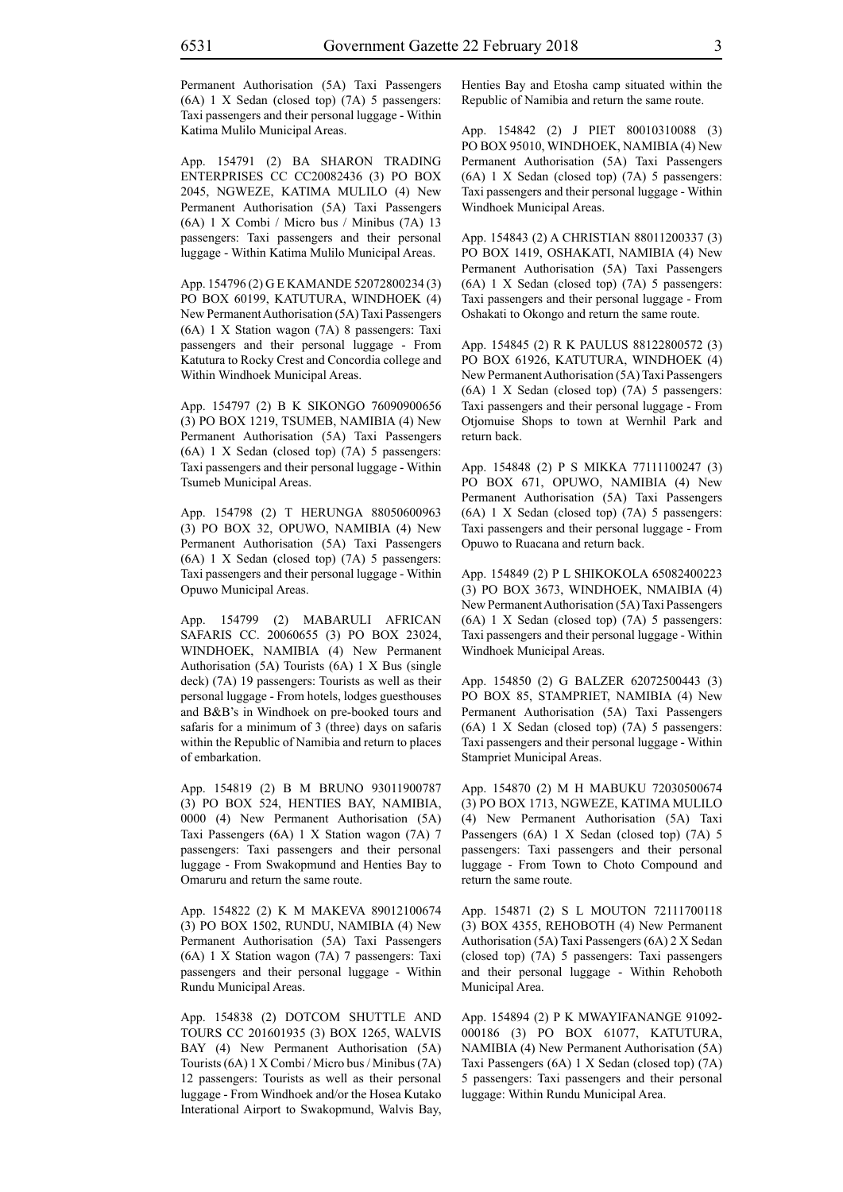Permanent Authorisation (5A) Taxi Passengers (6A) 1 X Sedan (closed top) (7A) 5 passengers: Taxi passengers and their personal luggage - Within Katima Mulilo Municipal Areas.

App. 154791 (2) BA SHARON TRADING ENTERPRISES CC CC20082436 (3) PO BOX 2045, NGWEZE, KATIMA MULILO (4) New Permanent Authorisation (5A) Taxi Passengers (6A) 1 X Combi / Micro bus / Minibus (7A) 13 passengers: Taxi passengers and their personal luggage - Within Katima Mulilo Municipal Areas.

App. 154796 (2) G E KAMANDE 52072800234 (3) PO BOX 60199, KATUTURA, WINDHOEK (4) New Permanent Authorisation (5A) Taxi Passengers (6A) 1 X Station wagon (7A) 8 passengers: Taxi passengers and their personal luggage - From Katutura to Rocky Crest and Concordia college and Within Windhoek Municipal Areas.

App. 154797 (2) B K SIKONGO 76090900656 (3) PO BOX 1219, TSUMEB, NAMIBIA (4) New Permanent Authorisation (5A) Taxi Passengers (6A) 1 X Sedan (closed top) (7A) 5 passengers: Taxi passengers and their personal luggage - Within Tsumeb Municipal Areas.

App. 154798 (2) T HERUNGA 88050600963 (3) PO BOX 32, OPUWO, NAMIBIA (4) New Permanent Authorisation (5A) Taxi Passengers (6A) 1 X Sedan (closed top) (7A) 5 passengers: Taxi passengers and their personal luggage - Within Opuwo Municipal Areas.

App. 154799 (2) MABARULI AFRICAN SAFARIS CC. 20060655 (3) PO BOX 23024, WINDHOEK, NAMIBIA (4) New Permanent Authorisation (5A) Tourists (6A) 1 X Bus (single deck) (7A) 19 passengers: Tourists as well as their personal luggage - From hotels, lodges guesthouses and B&B's in Windhoek on pre-booked tours and safaris for a minimum of 3 (three) days on safaris within the Republic of Namibia and return to places of embarkation.

App. 154819 (2) B M BRUNO 93011900787 (3) PO BOX 524, HENTIES BAY, NAMIBIA, 0000 (4) New Permanent Authorisation (5A) Taxi Passengers (6A) 1 X Station wagon (7A) 7 passengers: Taxi passengers and their personal luggage - From Swakopmund and Henties Bay to Omaruru and return the same route.

App. 154822 (2) K M MAKEVA 89012100674 (3) PO BOX 1502, RUNDU, NAMIBIA (4) New Permanent Authorisation (5A) Taxi Passengers (6A) 1 X Station wagon (7A) 7 passengers: Taxi passengers and their personal luggage - Within Rundu Municipal Areas.

App. 154838 (2) DOTCOM SHUTTLE AND TOURS CC 201601935 (3) BOX 1265, WALVIS BAY (4) New Permanent Authorisation (5A) Tourists (6A) 1 X Combi / Micro bus / Minibus (7A) 12 passengers: Tourists as well as their personal luggage - From Windhoek and/or the Hosea Kutako Interational Airport to Swakopmund, Walvis Bay, Henties Bay and Etosha camp situated within the Republic of Namibia and return the same route.

App. 154842 (2) J PIET 80010310088 (3) PO BOX 95010, WINDHOEK, NAMIBIA (4) New Permanent Authorisation (5A) Taxi Passengers (6A) 1 X Sedan (closed top) (7A) 5 passengers: Taxi passengers and their personal luggage - Within Windhoek Municipal Areas.

App. 154843 (2) A CHRISTIAN 88011200337 (3) PO BOX 1419, OSHAKATI, NAMIBIA (4) New Permanent Authorisation (5A) Taxi Passengers (6A) 1 X Sedan (closed top) (7A) 5 passengers: Taxi passengers and their personal luggage - From Oshakati to Okongo and return the same route.

App. 154845 (2) R K PAULUS 88122800572 (3) PO BOX 61926, KATUTURA, WINDHOEK (4) New Permanent Authorisation (5A) Taxi Passengers (6A) 1 X Sedan (closed top) (7A) 5 passengers: Taxi passengers and their personal luggage - From Otjomuise Shops to town at Wernhil Park and return back.

App. 154848 (2) P S MIKKA 77111100247 (3) PO BOX 671, OPUWO, NAMIBIA (4) New Permanent Authorisation (5A) Taxi Passengers (6A) 1 X Sedan (closed top) (7A) 5 passengers: Taxi passengers and their personal luggage - From Opuwo to Ruacana and return back.

App. 154849 (2) P L SHIKOKOLA 65082400223 (3) PO BOX 3673, WINDHOEK, NMAIBIA (4) New Permanent Authorisation (5A) Taxi Passengers (6A) 1 X Sedan (closed top) (7A) 5 passengers: Taxi passengers and their personal luggage - Within Windhoek Municipal Areas.

App. 154850 (2) G BALZER 62072500443 (3) PO BOX 85, STAMPRIET, NAMIBIA (4) New Permanent Authorisation (5A) Taxi Passengers (6A) 1 X Sedan (closed top) (7A) 5 passengers: Taxi passengers and their personal luggage - Within Stampriet Municipal Areas.

App. 154870 (2) M H MABUKU 72030500674 (3) PO BOX 1713, NGWEZE, KATIMA MULILO (4) New Permanent Authorisation (5A) Taxi Passengers (6A) 1 X Sedan (closed top) (7A) 5 passengers: Taxi passengers and their personal luggage - From Town to Choto Compound and return the same route.

App. 154871 (2) S L MOUTON 72111700118 (3) BOX 4355, REHOBOTH (4) New Permanent Authorisation (5A) Taxi Passengers (6A) 2 X Sedan (closed top) (7A) 5 passengers: Taxi passengers and their personal luggage - Within Rehoboth Municipal Area.

App. 154894 (2) P K MWAYIFANANGE 91092- 000186 (3) PO BOX 61077, KATUTURA, NAMIBIA (4) New Permanent Authorisation (5A) Taxi Passengers (6A) 1 X Sedan (closed top) (7A) 5 passengers: Taxi passengers and their personal luggage: Within Rundu Municipal Area.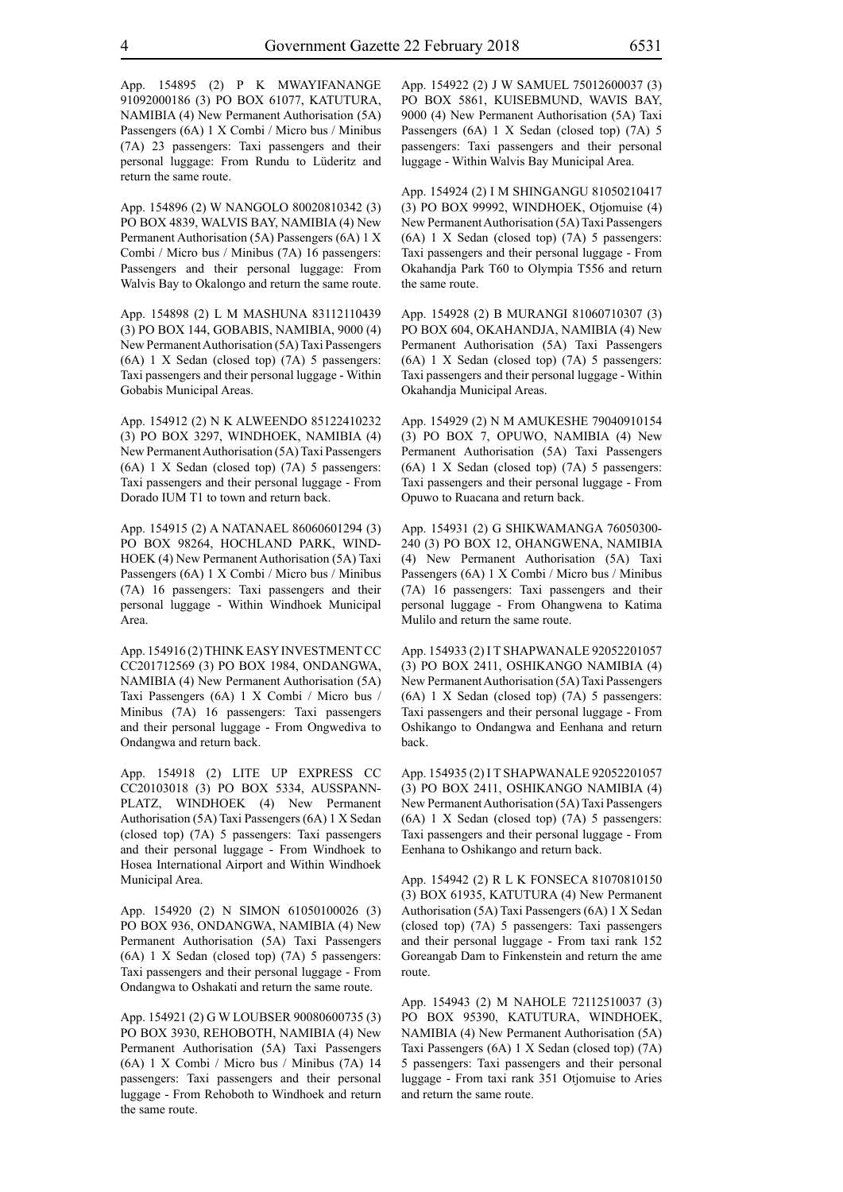App. 154895 (2) P K MWAYIFANANGE 91092000186 (3) PO BOX 61077, KATUTURA, NAMIBIA (4) New Permanent Authorisation (5A) Passengers (6A) 1 X Combi / Micro bus / Minibus (7A) 23 passengers: Taxi passengers and their personal luggage: From Rundu to Lüderitz and return the same route.

App. 154896 (2) W NANGOLO 80020810342 (3) PO BOX 4839, WALVIS BAY, NAMIBIA (4) New Permanent Authorisation (5A) Passengers (6A) 1 X Combi / Micro bus / Minibus (7A) 16 passengers: Passengers and their personal luggage: From Walvis Bay to Okalongo and return the same route.

App. 154898 (2) L M MASHUNA 83112110439 (3) PO BOX 144, GOBABIS, NAMIBIA, 9000 (4) New Permanent Authorisation (5A) Taxi Passengers (6A) 1 X Sedan (closed top) (7A) 5 passengers: Taxi passengers and their personal luggage - Within Gobabis Municipal Areas.

App. 154912 (2) N K ALWEENDO 85122410232 (3) PO BOX 3297, WINDHOEK, NAMIBIA (4) New Permanent Authorisation (5A) Taxi Passengers (6A) 1 X Sedan (closed top) (7A) 5 passengers: Taxi passengers and their personal luggage - From Dorado IUM T1 to town and return back.

App. 154915 (2) A NATANAEL 86060601294 (3) PO BOX 98264, HOCHLAND PARK, WIND-HOEK (4) New Permanent Authorisation (5A) Taxi Passengers (6A) 1 X Combi / Micro bus / Minibus (7A) 16 passengers: Taxi passengers and their personal luggage - Within Windhoek Municipal Area.

App. 154916 (2) THINK EASY INVESTMENT CC CC201712569 (3) PO BOX 1984, ONDANGWA, NAMIBIA (4) New Permanent Authorisation (5A) Taxi Passengers (6A) 1 X Combi / Micro bus / Minibus (7A) 16 passengers: Taxi passengers and their personal luggage - From Ongwediva to Ondangwa and return back.

App. 154918 (2) LITE UP EXPRESS CC CC20103018 (3) PO BOX 5334, AUSSPANN-PLATZ, WINDHOEK (4) New Permanent Authorisation (5A) Taxi Passengers (6A) 1 X Sedan (closed top) (7A) 5 passengers: Taxi passengers and their personal luggage - From Windhoek to Hosea International Airport and Within Windhoek Municipal Area.

App. 154920 (2) N SIMON 61050100026 (3) PO BOX 936, ONDANGWA, NAMIBIA (4) New Permanent Authorisation (5A) Taxi Passengers (6A) 1 X Sedan (closed top) (7A) 5 passengers: Taxi passengers and their personal luggage - From Ondangwa to Oshakati and return the same route.

App. 154921 (2) G W LOUBSER 90080600735 (3) PO BOX 3930, REHOBOTH, NAMIBIA (4) New Permanent Authorisation (5A) Taxi Passengers (6A) 1 X Combi / Micro bus / Minibus (7A) 14 passengers: Taxi passengers and their personal luggage - From Rehoboth to Windhoek and return the same route.

App. 154922 (2) J W SAMUEL 75012600037 (3) PO BOX 5861, KUISEBMUND, WAVIS BAY, 9000 (4) New Permanent Authorisation (5A) Taxi Passengers (6A) 1 X Sedan (closed top) (7A) 5 passengers: Taxi passengers and their personal luggage - Within Walvis Bay Municipal Area.

App. 154924 (2) I M SHINGANGU 81050210417 (3) PO BOX 99992, WINDHOEK, Otjomuise (4) New Permanent Authorisation (5A) Taxi Passengers (6A) 1 X Sedan (closed top) (7A) 5 passengers: Taxi passengers and their personal luggage - From Okahandja Park T60 to Olympia T556 and return the same route.

App. 154928 (2) B MURANGI 81060710307 (3) PO BOX 604, OKAHANDJA, NAMIBIA (4) New Permanent Authorisation (5A) Taxi Passengers (6A) 1 X Sedan (closed top) (7A) 5 passengers: Taxi passengers and their personal luggage - Within Okahandja Municipal Areas.

App. 154929 (2) N M AMUKESHE 79040910154 (3) PO BOX 7, OPUWO, NAMIBIA (4) New Permanent Authorisation (5A) Taxi Passengers (6A) 1 X Sedan (closed top) (7A) 5 passengers: Taxi passengers and their personal luggage - From Opuwo to Ruacana and return back.

App. 154931 (2) G SHIKWAMANGA 76050300- 240 (3) PO BOX 12, OHANGWENA, NAMIBIA (4) New Permanent Authorisation (5A) Taxi Passengers (6A) 1 X Combi / Micro bus / Minibus (7A) 16 passengers: Taxi passengers and their personal luggage - From Ohangwena to Katima Mulilo and return the same route.

App. 154933 (2) I T SHAPWANALE 92052201057 (3) PO BOX 2411, OSHIKANGO NAMIBIA (4) New Permanent Authorisation (5A) Taxi Passengers (6A) 1 X Sedan (closed top) (7A) 5 passengers: Taxi passengers and their personal luggage - From Oshikango to Ondangwa and Eenhana and return back.

App. 154935 (2) I T SHAPWANALE 92052201057 (3) PO BOX 2411, OSHIKANGO NAMIBIA (4) New Permanent Authorisation (5A) Taxi Passengers (6A) 1 X Sedan (closed top) (7A) 5 passengers: Taxi passengers and their personal luggage - From Eenhana to Oshikango and return back.

App. 154942 (2) R L K FONSECA 81070810150 (3) BOX 61935, KATUTURA (4) New Permanent Authorisation (5A) Taxi Passengers (6A) 1 X Sedan (closed top) (7A) 5 passengers: Taxi passengers and their personal luggage - From taxi rank 152 Goreangab Dam to Finkenstein and return the ame route.

App. 154943 (2) M NAHOLE 72112510037 (3) PO BOX 95390, KATUTURA, WINDHOEK, NAMIBIA (4) New Permanent Authorisation (5A) Taxi Passengers (6A) 1 X Sedan (closed top) (7A) 5 passengers: Taxi passengers and their personal luggage - From taxi rank 351 Otjomuise to Aries and return the same route.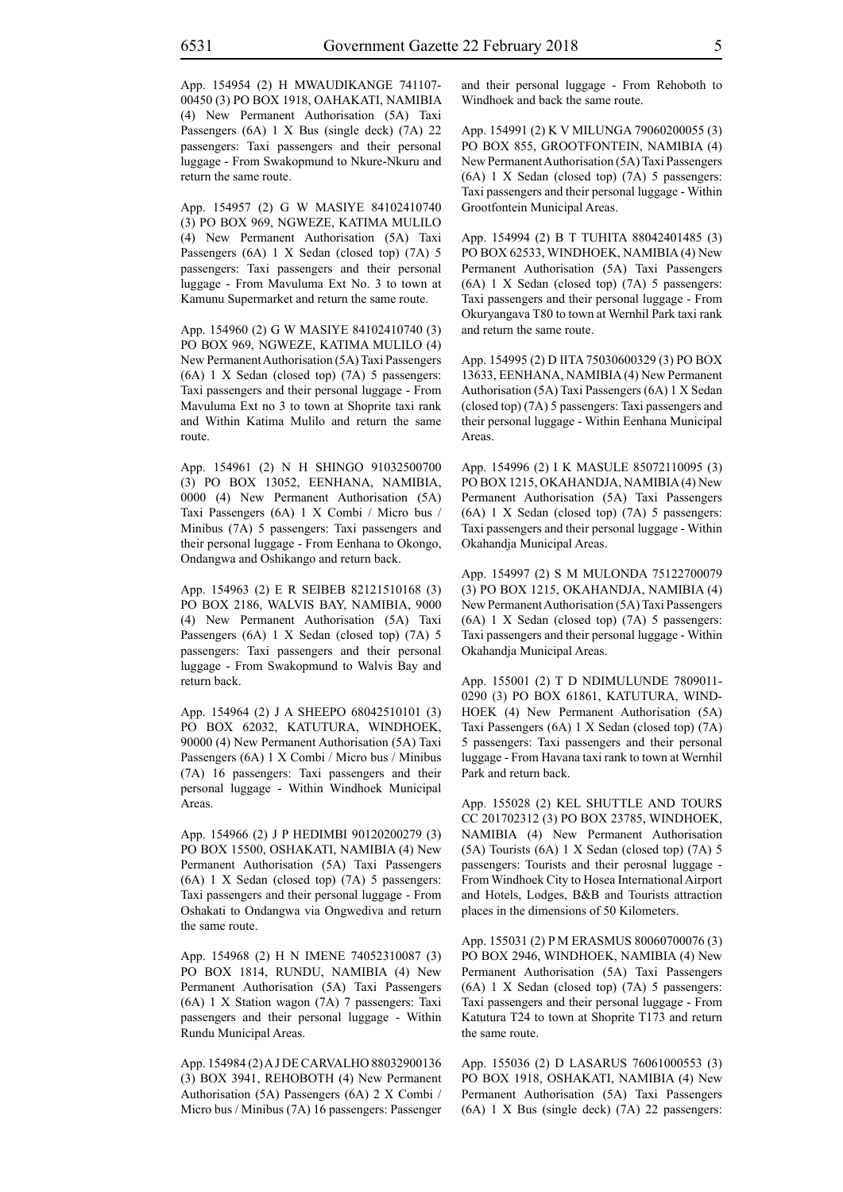App. 154954 (2) H MWAUDIKANGE 741107- 00450 (3) PO BOX 1918, OAHAKATI, NAMIBIA (4) New Permanent Authorisation (5A) Taxi Passengers (6A) 1 X Bus (single deck) (7A) 22 passengers: Taxi passengers and their personal luggage - From Swakopmund to Nkure-Nkuru and return the same route.

App. 154957 (2) G W MASIYE 84102410740 (3) PO BOX 969, NGWEZE, KATIMA MULILO (4) New Permanent Authorisation (5A) Taxi Passengers (6A) 1 X Sedan (closed top) (7A) 5 passengers: Taxi passengers and their personal luggage - From Mavuluma Ext No. 3 to town at Kamunu Supermarket and return the same route.

App. 154960 (2) G W MASIYE 84102410740 (3) PO BOX 969, NGWEZE, KATIMA MULILO (4) New Permanent Authorisation (5A) Taxi Passengers (6A) 1 X Sedan (closed top) (7A) 5 passengers: Taxi passengers and their personal luggage - From Mavuluma Ext no 3 to town at Shoprite taxi rank and Within Katima Mulilo and return the same route.

App. 154961 (2) N H SHINGO 91032500700 (3) PO BOX 13052, EENHANA, NAMIBIA, 0000 (4) New Permanent Authorisation (5A) Taxi Passengers (6A) 1 X Combi / Micro bus / Minibus (7A) 5 passengers: Taxi passengers and their personal luggage - From Eenhana to Okongo, Ondangwa and Oshikango and return back.

App. 154963 (2) E R SEIBEB 82121510168 (3) PO BOX 2186, WALVIS BAY, NAMIBIA, 9000 (4) New Permanent Authorisation (5A) Taxi Passengers (6A) 1 X Sedan (closed top) (7A) 5 passengers: Taxi passengers and their personal luggage - From Swakopmund to Walvis Bay and return back.

App. 154964 (2) J A SHEEPO 68042510101 (3) PO BOX 62032, KATUTURA, WINDHOEK, 90000 (4) New Permanent Authorisation (5A) Taxi Passengers (6A) 1 X Combi / Micro bus / Minibus (7A) 16 passengers: Taxi passengers and their personal luggage - Within Windhoek Municipal Areas.

App. 154966 (2) J P HEDIMBI 90120200279 (3) PO BOX 15500, OSHAKATI, NAMIBIA (4) New Permanent Authorisation (5A) Taxi Passengers (6A) 1 X Sedan (closed top) (7A) 5 passengers: Taxi passengers and their personal luggage - From Oshakati to Ondangwa via Ongwediva and return the same route.

App. 154968 (2) H N IMENE 74052310087 (3) PO BOX 1814, RUNDU, NAMIBIA (4) New Permanent Authorisation (5A) Taxi Passengers (6A) 1 X Station wagon (7A) 7 passengers: Taxi passengers and their personal luggage - Within Rundu Municipal Areas.

App. 154984 (2) A J DE CARVALHO 88032900136 (3) BOX 3941, REHOBOTH (4) New Permanent Authorisation (5A) Passengers (6A) 2 X Combi / Micro bus / Minibus (7A) 16 passengers: Passenger and their personal luggage - From Rehoboth to Windhoek and back the same route.

App. 154991 (2) K V MILUNGA 79060200055 (3) PO BOX 855, GROOTFONTEIN, NAMIBIA (4) New Permanent Authorisation (5A) Taxi Passengers (6A) 1 X Sedan (closed top) (7A) 5 passengers: Taxi passengers and their personal luggage - Within Grootfontein Municipal Areas.

App. 154994 (2) B T TUHITA 88042401485 (3) PO BOX 62533, WINDHOEK, NAMIBIA (4) New Permanent Authorisation (5A) Taxi Passengers (6A) 1 X Sedan (closed top) (7A) 5 passengers: Taxi passengers and their personal luggage - From Okuryangava T80 to town at Wernhil Park taxi rank and return the same route.

App. 154995 (2) D IITA 75030600329 (3) PO BOX 13633, EENHANA, NAMIBIA (4) New Permanent Authorisation (5A) Taxi Passengers (6A) 1 X Sedan (closed top) (7A) 5 passengers: Taxi passengers and their personal luggage - Within Eenhana Municipal Areas.

App. 154996 (2) I K MASULE 85072110095 (3) PO BOX 1215, OKAHANDJA, NAMIBIA (4) New Permanent Authorisation (5A) Taxi Passengers (6A) 1 X Sedan (closed top) (7A) 5 passengers: Taxi passengers and their personal luggage - Within Okahandja Municipal Areas.

App. 154997 (2) S M MULONDA 75122700079 (3) PO BOX 1215, OKAHANDJA, NAMIBIA (4) New Permanent Authorisation (5A) Taxi Passengers (6A) 1 X Sedan (closed top) (7A) 5 passengers: Taxi passengers and their personal luggage - Within Okahandja Municipal Areas.

App. 155001 (2) T D NDIMULUNDE 7809011- 0290 (3) PO BOX 61861, KATUTURA, WIND-HOEK (4) New Permanent Authorisation (5A) Taxi Passengers (6A) 1 X Sedan (closed top) (7A) 5 passengers: Taxi passengers and their personal luggage - From Havana taxi rank to town at Wernhil Park and return back.

App. 155028 (2) KEL SHUTTLE AND TOURS CC 201702312 (3) PO BOX 23785, WINDHOEK, NAMIBIA (4) New Permanent Authorisation (5A) Tourists (6A) 1 X Sedan (closed top) (7A) 5 passengers: Tourists and their perosnal luggage - From Windhoek City to Hosea International Airport and Hotels, Lodges, B&B and Tourists attraction places in the dimensions of 50 Kilometers.

App. 155031 (2) P M ERASMUS 80060700076 (3) PO BOX 2946, WINDHOEK, NAMIBIA (4) New Permanent Authorisation (5A) Taxi Passengers (6A) 1 X Sedan (closed top) (7A) 5 passengers: Taxi passengers and their personal luggage - From Katutura T24 to town at Shoprite T173 and return the same route.

App. 155036 (2) D LASARUS 76061000553 (3) PO BOX 1918, OSHAKATI, NAMIBIA (4) New Permanent Authorisation (5A) Taxi Passengers (6A) 1 X Bus (single deck) (7A) 22 passengers: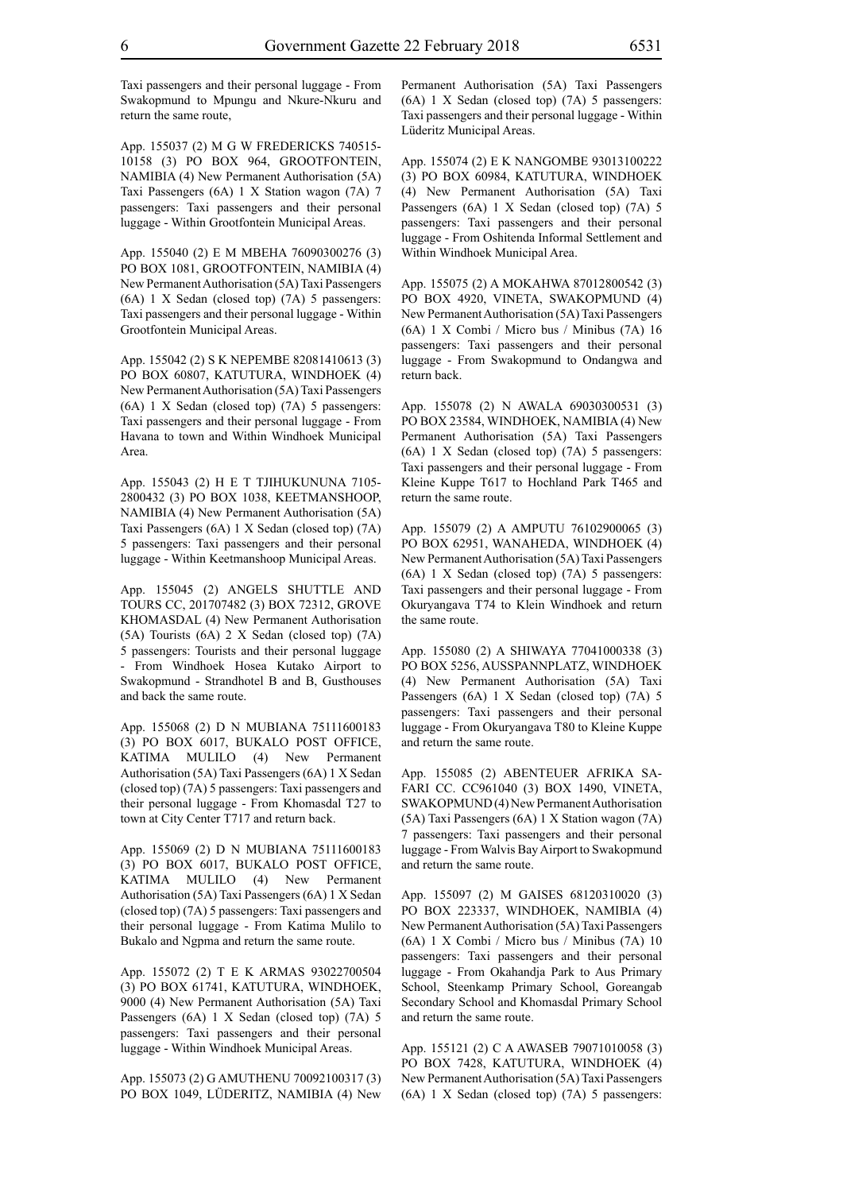Taxi passengers and their personal luggage - From Swakopmund to Mpungu and Nkure-Nkuru and return the same route,

App. 155037 (2) M G W FREDERICKS 740515- 10158 (3) PO BOX 964, GROOTFONTEIN, NAMIBIA (4) New Permanent Authorisation (5A) Taxi Passengers (6A) 1 X Station wagon (7A) 7 passengers: Taxi passengers and their personal luggage - Within Grootfontein Municipal Areas.

App. 155040 (2) E M MBEHA 76090300276 (3) PO BOX 1081, GROOTFONTEIN, NAMIBIA (4) New Permanent Authorisation (5A) Taxi Passengers (6A) 1 X Sedan (closed top) (7A) 5 passengers: Taxi passengers and their personal luggage - Within Grootfontein Municipal Areas.

App. 155042 (2) S K NEPEMBE 82081410613 (3) PO BOX 60807, KATUTURA, WINDHOEK (4) New Permanent Authorisation (5A) Taxi Passengers (6A) 1 X Sedan (closed top) (7A) 5 passengers: Taxi passengers and their personal luggage - From Havana to town and Within Windhoek Municipal Area.

App. 155043 (2) H E T TJIHUKUNUNA 7105- 2800432 (3) PO BOX 1038, KEETMANSHOOP, NAMIBIA (4) New Permanent Authorisation (5A) Taxi Passengers (6A) 1 X Sedan (closed top) (7A) 5 passengers: Taxi passengers and their personal luggage - Within Keetmanshoop Municipal Areas.

App. 155045 (2) ANGELS SHUTTLE AND TOURS CC, 201707482 (3) BOX 72312, GROVE KHOMASDAL (4) New Permanent Authorisation (5A) Tourists (6A) 2 X Sedan (closed top) (7A) 5 passengers: Tourists and their personal luggage - From Windhoek Hosea Kutako Airport to Swakopmund - Strandhotel B and B, Gusthouses and back the same route.

App. 155068 (2) D N MUBIANA 75111600183 (3) PO BOX 6017, BUKALO POST OFFICE, KATIMA MULILO (4) New Permanent Authorisation (5A) Taxi Passengers (6A) 1 X Sedan (closed top) (7A) 5 passengers: Taxi passengers and their personal luggage - From Khomasdal T27 to town at City Center T717 and return back.

App. 155069 (2) D N MUBIANA 75111600183 (3) PO BOX 6017, BUKALO POST OFFICE, KATIMA MULILO (4) New Permanent Authorisation (5A) Taxi Passengers (6A) 1 X Sedan (closed top) (7A) 5 passengers: Taxi passengers and their personal luggage - From Katima Mulilo to Bukalo and Ngpma and return the same route.

App. 155072 (2) T E K ARMAS 93022700504 (3) PO BOX 61741, KATUTURA, WINDHOEK, 9000 (4) New Permanent Authorisation (5A) Taxi Passengers (6A) 1 X Sedan (closed top) (7A) 5 passengers: Taxi passengers and their personal luggage - Within Windhoek Municipal Areas.

App. 155073 (2) G AMUTHENU 70092100317 (3) PO BOX 1049, LÜDERITZ, NAMIBIA (4) New Permanent Authorisation (5A) Taxi Passengers (6A) 1 X Sedan (closed top) (7A) 5 passengers: Taxi passengers and their personal luggage - Within Lüderitz Municipal Areas.

App. 155074 (2) E K NANGOMBE 93013100222 (3) PO BOX 60984, KATUTURA, WINDHOEK (4) New Permanent Authorisation (5A) Taxi Passengers (6A) 1 X Sedan (closed top) (7A) 5 passengers: Taxi passengers and their personal luggage - From Oshitenda Informal Settlement and Within Windhoek Municipal Area.

App. 155075 (2) A MOKAHWA 87012800542 (3) PO BOX 4920, VINETA, SWAKOPMUND (4) New Permanent Authorisation (5A) Taxi Passengers (6A) 1 X Combi / Micro bus / Minibus (7A) 16 passengers: Taxi passengers and their personal luggage - From Swakopmund to Ondangwa and return back.

App. 155078 (2) N AWALA 69030300531 (3) PO BOX 23584, WINDHOEK, NAMIBIA (4) New Permanent Authorisation (5A) Taxi Passengers (6A) 1 X Sedan (closed top) (7A) 5 passengers: Taxi passengers and their personal luggage - From Kleine Kuppe T617 to Hochland Park T465 and return the same route.

App. 155079 (2) A AMPUTU 76102900065 (3) PO BOX 62951, WANAHEDA, WINDHOEK (4) New Permanent Authorisation (5A) Taxi Passengers (6A) 1 X Sedan (closed top) (7A) 5 passengers: Taxi passengers and their personal luggage - From Okuryangava T74 to Klein Windhoek and return the same route.

App. 155080 (2) A SHIWAYA 77041000338 (3) PO BOX 5256, AUSSPANNPLATZ, WINDHOEK (4) New Permanent Authorisation (5A) Taxi Passengers (6A) 1 X Sedan (closed top) (7A) 5 passengers: Taxi passengers and their personal luggage - From Okuryangava T80 to Kleine Kuppe and return the same route.

App. 155085 (2) ABENTEUER AFRIKA SA-FARI CC. CC961040 (3) BOX 1490, VINETA, SWAKOPMUND (4) New Permanent Authorisation (5A) Taxi Passengers (6A) 1 X Station wagon (7A) 7 passengers: Taxi passengers and their personal luggage - From Walvis Bay Airport to Swakopmund and return the same route.

App. 155097 (2) M GAISES 68120310020 (3) PO BOX 223337, WINDHOEK, NAMIBIA (4) New Permanent Authorisation (5A) Taxi Passengers (6A) 1 X Combi / Micro bus / Minibus (7A) 10 passengers: Taxi passengers and their personal luggage - From Okahandja Park to Aus Primary School, Steenkamp Primary School, Goreangab Secondary School and Khomasdal Primary School and return the same route.

App. 155121 (2) C A AWASEB 79071010058 (3) PO BOX 7428, KATUTURA, WINDHOEK (4) New Permanent Authorisation (5A) Taxi Passengers (6A) 1 X Sedan (closed top) (7A) 5 passengers: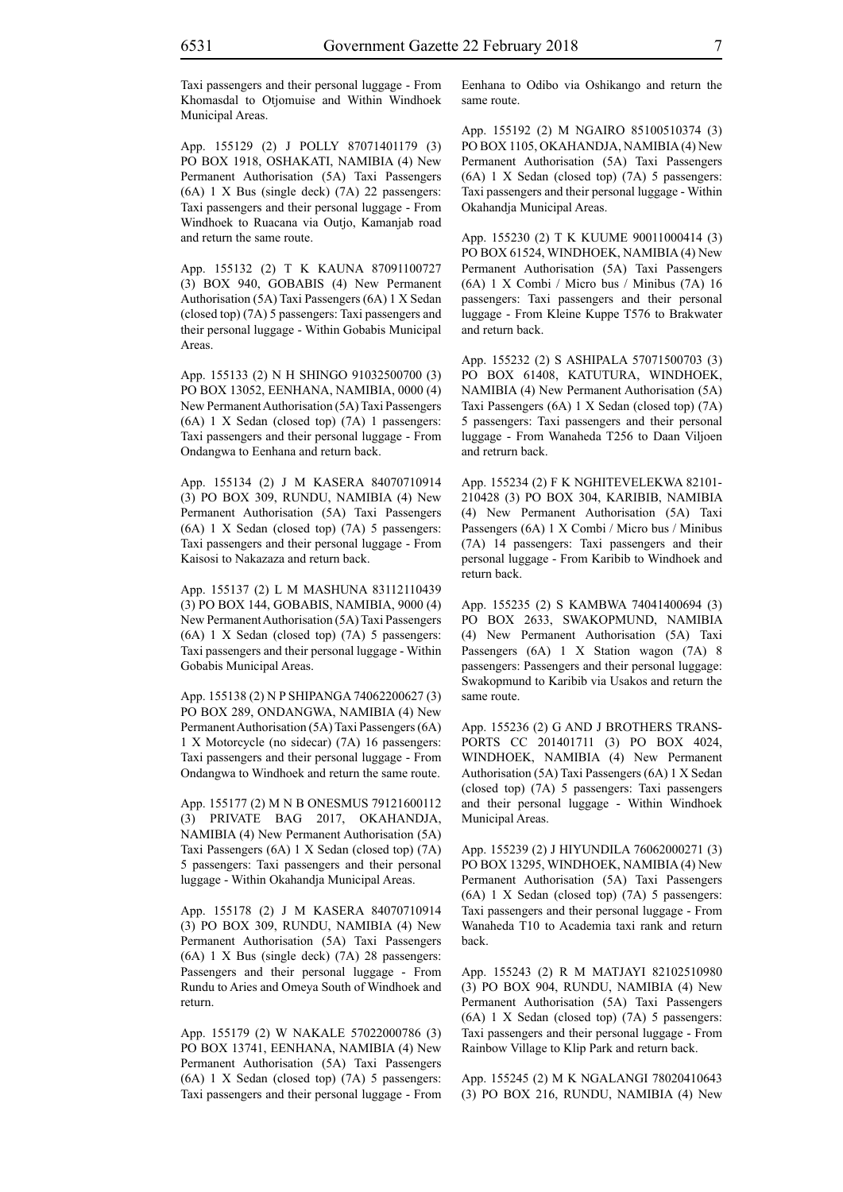Taxi passengers and their personal luggage - From Khomasdal to Otjomuise and Within Windhoek Municipal Areas.

App. 155129 (2) J POLLY 87071401179 (3) PO BOX 1918, OSHAKATI, NAMIBIA (4) New Permanent Authorisation (5A) Taxi Passengers (6A) 1 X Bus (single deck) (7A) 22 passengers: Taxi passengers and their personal luggage - From Windhoek to Ruacana via Outjo, Kamanjab road and return the same route.

App. 155132 (2) T K KAUNA 87091100727 (3) BOX 940, GOBABIS (4) New Permanent Authorisation (5A) Taxi Passengers (6A) 1 X Sedan (closed top) (7A) 5 passengers: Taxi passengers and their personal luggage - Within Gobabis Municipal Areas.

App. 155133 (2) N H SHINGO 91032500700 (3) PO BOX 13052, EENHANA, NAMIBIA, 0000 (4) New Permanent Authorisation (5A) Taxi Passengers (6A) 1 X Sedan (closed top) (7A) 1 passengers: Taxi passengers and their personal luggage - From Ondangwa to Eenhana and return back.

App. 155134 (2) J M KASERA 84070710914 (3) PO BOX 309, RUNDU, NAMIBIA (4) New Permanent Authorisation (5A) Taxi Passengers (6A) 1 X Sedan (closed top) (7A) 5 passengers: Taxi passengers and their personal luggage - From Kaisosi to Nakazaza and return back.

App. 155137 (2) L M MASHUNA 83112110439 (3) PO BOX 144, GOBABIS, NAMIBIA, 9000 (4) New Permanent Authorisation (5A) Taxi Passengers (6A) 1 X Sedan (closed top) (7A) 5 passengers: Taxi passengers and their personal luggage - Within Gobabis Municipal Areas.

App. 155138 (2) N P SHIPANGA 74062200627 (3) PO BOX 289, ONDANGWA, NAMIBIA (4) New Permanent Authorisation (5A) Taxi Passengers (6A) 1 X Motorcycle (no sidecar) (7A) 16 passengers: Taxi passengers and their personal luggage - From Ondangwa to Windhoek and return the same route.

App. 155177 (2) M N B ONESMUS 79121600112 (3) PRIVATE BAG 2017, OKAHANDJA, NAMIBIA (4) New Permanent Authorisation (5A) Taxi Passengers (6A) 1 X Sedan (closed top) (7A) 5 passengers: Taxi passengers and their personal luggage - Within Okahandja Municipal Areas.

App. 155178 (2) J M KASERA 84070710914 (3) PO BOX 309, RUNDU, NAMIBIA (4) New Permanent Authorisation (5A) Taxi Passengers (6A) 1 X Bus (single deck) (7A) 28 passengers: Passengers and their personal luggage - From Rundu to Aries and Omeya South of Windhoek and return.

App. 155179 (2) W NAKALE 57022000786 (3) PO BOX 13741, EENHANA, NAMIBIA (4) New Permanent Authorisation (5A) Taxi Passengers (6A) 1 X Sedan (closed top) (7A) 5 passengers: Taxi passengers and their personal luggage - From Eenhana to Odibo via Oshikango and return the same route.

App. 155192 (2) M NGAIRO 85100510374 (3) PO BOX 1105, OKAHANDJA, NAMIBIA (4) New Permanent Authorisation (5A) Taxi Passengers (6A) 1 X Sedan (closed top) (7A) 5 passengers: Taxi passengers and their personal luggage - Within Okahandja Municipal Areas.

App. 155230 (2) T K KUUME 90011000414 (3) PO BOX 61524, WINDHOEK, NAMIBIA (4) New Permanent Authorisation (5A) Taxi Passengers (6A) 1 X Combi / Micro bus / Minibus (7A) 16 passengers: Taxi passengers and their personal luggage - From Kleine Kuppe T576 to Brakwater and return back.

App. 155232 (2) S ASHIPALA 57071500703 (3) PO BOX 61408, KATUTURA, WINDHOEK, NAMIBIA (4) New Permanent Authorisation (5A) Taxi Passengers (6A) 1 X Sedan (closed top) (7A) 5 passengers: Taxi passengers and their personal luggage - From Wanaheda T256 to Daan Viljoen and retrurn back.

App. 155234 (2) F K NGHITEVELEKWA 82101- 210428 (3) PO BOX 304, KARIBIB, NAMIBIA (4) New Permanent Authorisation (5A) Taxi Passengers (6A) 1 X Combi / Micro bus / Minibus (7A) 14 passengers: Taxi passengers and their personal luggage - From Karibib to Windhoek and return back.

App. 155235 (2) S KAMBWA 74041400694 (3) PO BOX 2633, SWAKOPMUND, NAMIBIA (4) New Permanent Authorisation (5A) Taxi Passengers (6A) 1 X Station wagon (7A) 8 passengers: Passengers and their personal luggage: Swakopmund to Karibib via Usakos and return the same route.

App. 155236 (2) G AND J BROTHERS TRANS-PORTS CC 201401711 (3) PO BOX 4024, WINDHOEK, NAMIBIA (4) New Permanent Authorisation (5A) Taxi Passengers (6A) 1 X Sedan (closed top) (7A) 5 passengers: Taxi passengers and their personal luggage - Within Windhoek Municipal Areas.

App. 155239 (2) J HIYUNDILA 76062000271 (3) PO BOX 13295, WINDHOEK, NAMIBIA (4) New Permanent Authorisation (5A) Taxi Passengers (6A) 1 X Sedan (closed top) (7A) 5 passengers: Taxi passengers and their personal luggage - From Wanaheda T10 to Academia taxi rank and return back.

App. 155243 (2) R M MATJAYI 82102510980 (3) PO BOX 904, RUNDU, NAMIBIA (4) New Permanent Authorisation (5A) Taxi Passengers (6A) 1 X Sedan (closed top) (7A) 5 passengers: Taxi passengers and their personal luggage - From Rainbow Village to Klip Park and return back.

App. 155245 (2) M K NGALANGI 78020410643 (3) PO BOX 216, RUNDU, NAMIBIA (4) New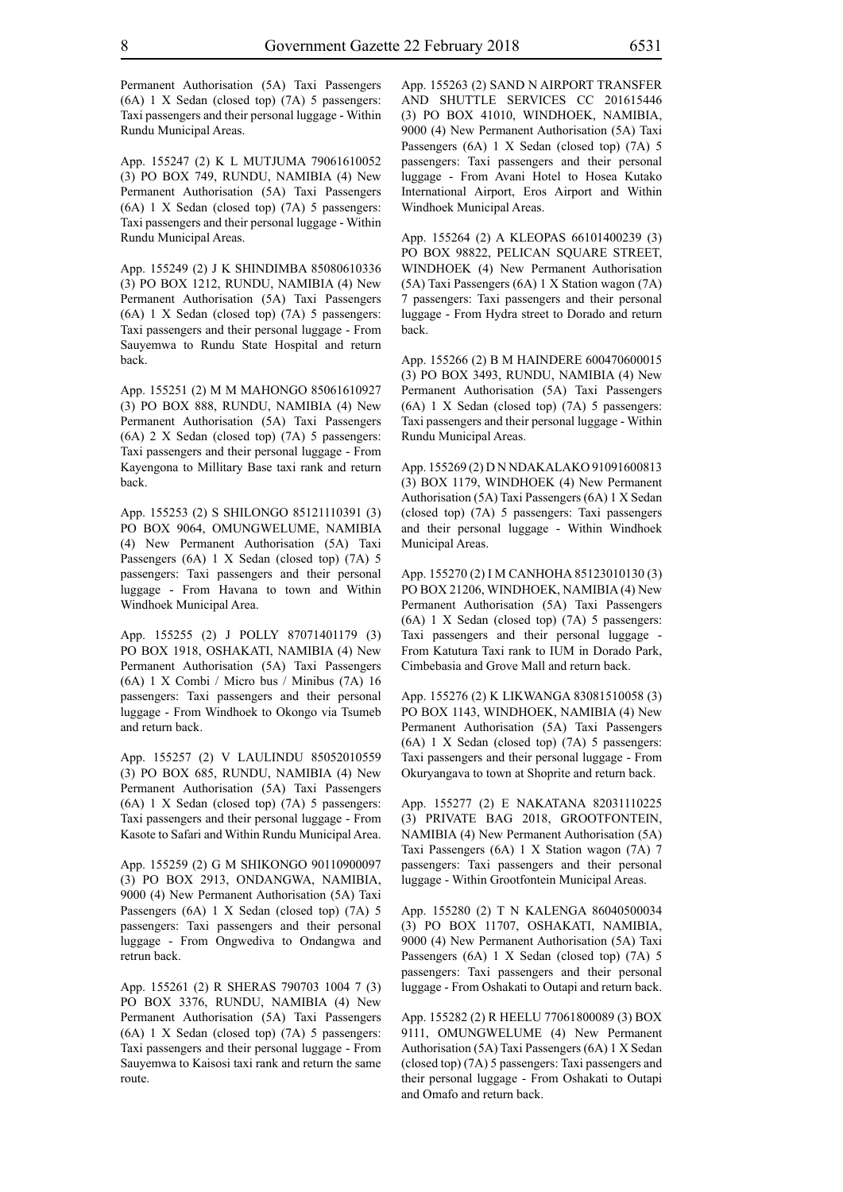Permanent Authorisation (5A) Taxi Passengers (6A) 1 X Sedan (closed top) (7A) 5 passengers: Taxi passengers and their personal luggage - Within Rundu Municipal Areas.

App. 155247 (2) K L MUTJUMA 79061610052 (3) PO BOX 749, RUNDU, NAMIBIA (4) New Permanent Authorisation (5A) Taxi Passengers (6A) 1 X Sedan (closed top) (7A) 5 passengers: Taxi passengers and their personal luggage - Within Rundu Municipal Areas.

App. 155249 (2) J K SHINDIMBA 85080610336 (3) PO BOX 1212, RUNDU, NAMIBIA (4) New Permanent Authorisation (5A) Taxi Passengers (6A) 1 X Sedan (closed top) (7A) 5 passengers: Taxi passengers and their personal luggage - From Sauyemwa to Rundu State Hospital and return back.

App. 155251 (2) M M MAHONGO 85061610927 (3) PO BOX 888, RUNDU, NAMIBIA (4) New Permanent Authorisation (5A) Taxi Passengers (6A) 2 X Sedan (closed top) (7A) 5 passengers: Taxi passengers and their personal luggage - From Kayengona to Millitary Base taxi rank and return back.

App. 155253 (2) S SHILONGO 85121110391 (3) PO BOX 9064, OMUNGWELUME, NAMIBIA (4) New Permanent Authorisation (5A) Taxi Passengers (6A) 1 X Sedan (closed top) (7A) 5 passengers: Taxi passengers and their personal luggage - From Havana to town and Within Windhoek Municipal Area.

App. 155255 (2) J POLLY 87071401179 (3) PO BOX 1918, OSHAKATI, NAMIBIA (4) New Permanent Authorisation (5A) Taxi Passengers (6A) 1 X Combi / Micro bus / Minibus (7A) 16 passengers: Taxi passengers and their personal luggage - From Windhoek to Okongo via Tsumeb and return back.

App. 155257 (2) V LAULINDU 85052010559 (3) PO BOX 685, RUNDU, NAMIBIA (4) New Permanent Authorisation (5A) Taxi Passengers (6A) 1 X Sedan (closed top) (7A) 5 passengers: Taxi passengers and their personal luggage - From Kasote to Safari and Within Rundu Municipal Area.

App. 155259 (2) G M SHIKONGO 90110900097 (3) PO BOX 2913, ONDANGWA, NAMIBIA, 9000 (4) New Permanent Authorisation (5A) Taxi Passengers (6A) 1 X Sedan (closed top) (7A) 5 passengers: Taxi passengers and their personal luggage - From Ongwediva to Ondangwa and retrun back.

App. 155261 (2) R SHERAS 790703 1004 7 (3) PO BOX 3376, RUNDU, NAMIBIA (4) New Permanent Authorisation (5A) Taxi Passengers (6A) 1 X Sedan (closed top) (7A) 5 passengers: Taxi passengers and their personal luggage - From Sauyemwa to Kaisosi taxi rank and return the same route.

App. 155263 (2) SAND N AIRPORT TRANSFER AND SHUTTLE SERVICES CC 201615446 (3) PO BOX 41010, WINDHOEK, NAMIBIA, 9000 (4) New Permanent Authorisation (5A) Taxi Passengers (6A) 1 X Sedan (closed top) (7A) 5 passengers: Taxi passengers and their personal luggage - From Avani Hotel to Hosea Kutako International Airport, Eros Airport and Within Windhoek Municipal Areas.

App. 155264 (2) A KLEOPAS 66101400239 (3) PO BOX 98822, PELICAN SQUARE STREET, WINDHOEK (4) New Permanent Authorisation (5A) Taxi Passengers (6A) 1 X Station wagon (7A) 7 passengers: Taxi passengers and their personal luggage - From Hydra street to Dorado and return back.

App. 155266 (2) B M HAINDERE 600470600015 (3) PO BOX 3493, RUNDU, NAMIBIA (4) New Permanent Authorisation (5A) Taxi Passengers (6A) 1 X Sedan (closed top) (7A) 5 passengers: Taxi passengers and their personal luggage - Within Rundu Municipal Areas.

App. 155269 (2) D N NDAKALAKO 91091600813 (3) BOX 1179, WINDHOEK (4) New Permanent Authorisation (5A) Taxi Passengers (6A) 1 X Sedan (closed top) (7A) 5 passengers: Taxi passengers and their personal luggage - Within Windhoek Municipal Areas.

App. 155270 (2) I M CANHOHA 85123010130 (3) PO BOX 21206, WINDHOEK, NAMIBIA (4) New Permanent Authorisation (5A) Taxi Passengers (6A) 1 X Sedan (closed top) (7A) 5 passengers: Taxi passengers and their personal luggage - From Katutura Taxi rank to IUM in Dorado Park, Cimbebasia and Grove Mall and return back.

App. 155276 (2) K LIKWANGA 83081510058 (3) PO BOX 1143, WINDHOEK, NAMIBIA (4) New Permanent Authorisation (5A) Taxi Passengers (6A) 1 X Sedan (closed top) (7A) 5 passengers: Taxi passengers and their personal luggage - From Okuryangava to town at Shoprite and return back.

App. 155277 (2) E NAKATANA 82031110225 (3) PRIVATE BAG 2018, GROOTFONTEIN, NAMIBIA (4) New Permanent Authorisation (5A) Taxi Passengers (6A) 1 X Station wagon (7A) 7 passengers: Taxi passengers and their personal luggage - Within Grootfontein Municipal Areas.

App. 155280 (2) T N KALENGA 86040500034 (3) PO BOX 11707, OSHAKATI, NAMIBIA, 9000 (4) New Permanent Authorisation (5A) Taxi Passengers (6A) 1 X Sedan (closed top) (7A) 5 passengers: Taxi passengers and their personal luggage - From Oshakati to Outapi and return back.

App. 155282 (2) R HEELU 77061800089 (3) BOX 9111, OMUNGWELUME (4) New Permanent Authorisation (5A) Taxi Passengers (6A) 1 X Sedan (closed top) (7A) 5 passengers: Taxi passengers and their personal luggage - From Oshakati to Outapi and Omafo and return back.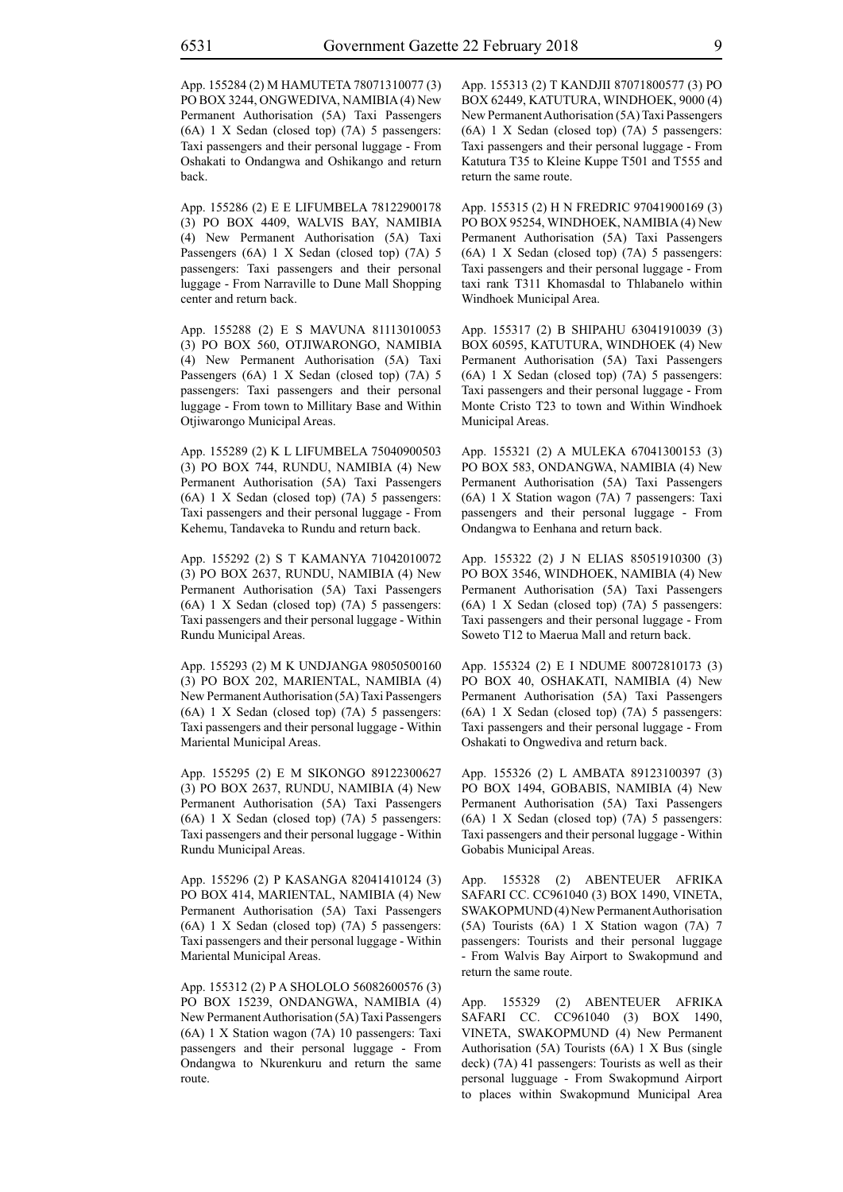App. 155284 (2) M HAMUTETA 78071310077 (3) PO BOX 3244, ONGWEDIVA, NAMIBIA (4) New Permanent Authorisation (5A) Taxi Passengers (6A) 1 X Sedan (closed top) (7A) 5 passengers: Taxi passengers and their personal luggage - From Oshakati to Ondangwa and Oshikango and return back.

App. 155286 (2) E E LIFUMBELA 78122900178 (3) PO BOX 4409, WALVIS BAY, NAMIBIA (4) New Permanent Authorisation (5A) Taxi Passengers (6A) 1 X Sedan (closed top) (7A) 5 passengers: Taxi passengers and their personal luggage - From Narraville to Dune Mall Shopping center and return back.

App. 155288 (2) E S MAVUNA 81113010053 (3) PO BOX 560, OTJIWARONGO, NAMIBIA (4) New Permanent Authorisation (5A) Taxi Passengers (6A) 1 X Sedan (closed top) (7A) 5 passengers: Taxi passengers and their personal luggage - From town to Millitary Base and Within Otjiwarongo Municipal Areas.

App. 155289 (2) K L LIFUMBELA 75040900503 (3) PO BOX 744, RUNDU, NAMIBIA (4) New Permanent Authorisation (5A) Taxi Passengers (6A) 1 X Sedan (closed top) (7A) 5 passengers: Taxi passengers and their personal luggage - From Kehemu, Tandaveka to Rundu and return back.

App. 155292 (2) S T KAMANYA 71042010072 (3) PO BOX 2637, RUNDU, NAMIBIA (4) New Permanent Authorisation (5A) Taxi Passengers (6A) 1 X Sedan (closed top) (7A) 5 passengers: Taxi passengers and their personal luggage - Within Rundu Municipal Areas.

App. 155293 (2) M K UNDJANGA 98050500160 (3) PO BOX 202, MARIENTAL, NAMIBIA (4) New Permanent Authorisation (5A) Taxi Passengers (6A) 1 X Sedan (closed top) (7A) 5 passengers: Taxi passengers and their personal luggage - Within Mariental Municipal Areas.

App. 155295 (2) E M SIKONGO 89122300627 (3) PO BOX 2637, RUNDU, NAMIBIA (4) New Permanent Authorisation (5A) Taxi Passengers (6A) 1 X Sedan (closed top) (7A) 5 passengers: Taxi passengers and their personal luggage - Within Rundu Municipal Areas.

App. 155296 (2) P KASANGA 82041410124 (3) PO BOX 414, MARIENTAL, NAMIBIA (4) New Permanent Authorisation (5A) Taxi Passengers (6A) 1 X Sedan (closed top) (7A) 5 passengers: Taxi passengers and their personal luggage - Within Mariental Municipal Areas.

App. 155312 (2) P A SHOLOLO 56082600576 (3) PO BOX 15239, ONDANGWA, NAMIBIA (4) New Permanent Authorisation (5A) Taxi Passengers (6A) 1 X Station wagon (7A) 10 passengers: Taxi passengers and their personal luggage - From Ondangwa to Nkurenkuru and return the same route.

App. 155313 (2) T KANDJII 87071800577 (3) PO BOX 62449, KATUTURA, WINDHOEK, 9000 (4) New Permanent Authorisation (5A) Taxi Passengers (6A) 1 X Sedan (closed top) (7A) 5 passengers: Taxi passengers and their personal luggage - From Katutura T35 to Kleine Kuppe T501 and T555 and return the same route.

App. 155315 (2) H N FREDRIC 97041900169 (3) PO BOX 95254, WINDHOEK, NAMIBIA (4) New Permanent Authorisation (5A) Taxi Passengers (6A) 1 X Sedan (closed top) (7A) 5 passengers: Taxi passengers and their personal luggage - From taxi rank T311 Khomasdal to Thlabanelo within Windhoek Municipal Area.

App. 155317 (2) B SHIPAHU 63041910039 (3) BOX 60595, KATUTURA, WINDHOEK (4) New Permanent Authorisation (5A) Taxi Passengers (6A) 1 X Sedan (closed top) (7A) 5 passengers: Taxi passengers and their personal luggage - From Monte Cristo T23 to town and Within Windhoek Municipal Areas.

App. 155321 (2) A MULEKA 67041300153 (3) PO BOX 583, ONDANGWA, NAMIBIA (4) New Permanent Authorisation (5A) Taxi Passengers (6A) 1 X Station wagon (7A) 7 passengers: Taxi passengers and their personal luggage - From Ondangwa to Eenhana and return back.

App. 155322 (2) J N ELIAS 85051910300 (3) PO BOX 3546, WINDHOEK, NAMIBIA (4) New Permanent Authorisation (5A) Taxi Passengers (6A) 1 X Sedan (closed top) (7A) 5 passengers: Taxi passengers and their personal luggage - From Soweto T12 to Maerua Mall and return back.

App. 155324 (2) E I NDUME 80072810173 (3) PO BOX 40, OSHAKATI, NAMIBIA (4) New Permanent Authorisation (5A) Taxi Passengers (6A) 1 X Sedan (closed top) (7A) 5 passengers: Taxi passengers and their personal luggage - From Oshakati to Ongwediva and return back.

App. 155326 (2) L AMBATA 89123100397 (3) PO BOX 1494, GOBABIS, NAMIBIA (4) New Permanent Authorisation (5A) Taxi Passengers (6A) 1 X Sedan (closed top) (7A) 5 passengers: Taxi passengers and their personal luggage - Within Gobabis Municipal Areas.

App. 155328 (2) ABENTEUER AFRIKA SAFARI CC. CC961040 (3) BOX 1490, VINETA, SWAKOPMUND (4) New Permanent Authorisation (5A) Tourists (6A) 1 X Station wagon (7A) 7 passengers: Tourists and their personal luggage - From Walvis Bay Airport to Swakopmund and return the same route.

App. 155329 (2) ABENTEUER AFRIKA SAFARI CC. CC961040 (3) BOX 1490, VINETA, SWAKOPMUND (4) New Permanent Authorisation (5A) Tourists (6A) 1 X Bus (single deck) (7A) 41 passengers: Tourists as well as their personal lugguage - From Swakopmund Airport to places within Swakopmund Municipal Area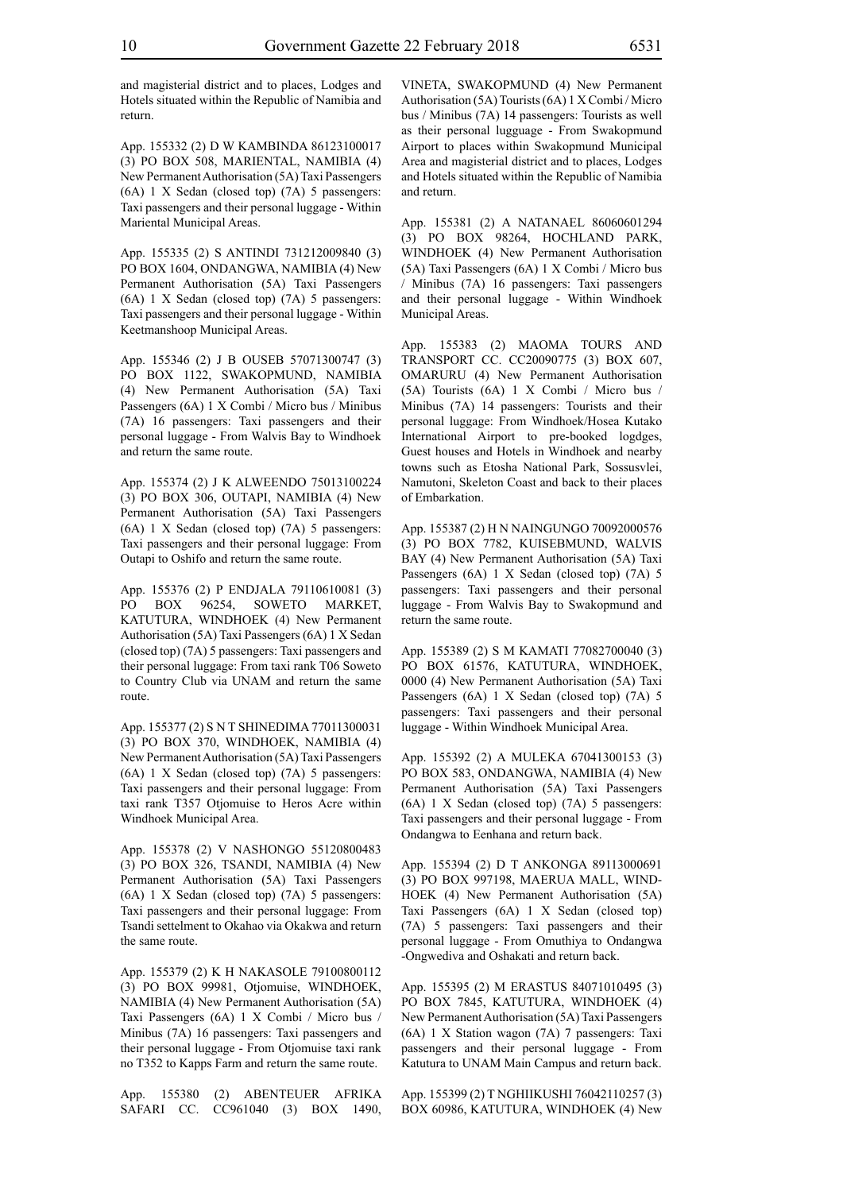and magisterial district and to places, Lodges and Hotels situated within the Republic of Namibia and return.

App. 155332 (2) D W KAMBINDA 86123100017 (3) PO BOX 508, MARIENTAL, NAMIBIA (4) New Permanent Authorisation (5A) Taxi Passengers (6A) 1 X Sedan (closed top) (7A) 5 passengers: Taxi passengers and their personal luggage - Within Mariental Municipal Areas.

App. 155335 (2) S ANTINDI 731212009840 (3) PO BOX 1604, ONDANGWA, NAMIBIA (4) New Permanent Authorisation (5A) Taxi Passengers (6A) 1 X Sedan (closed top) (7A) 5 passengers: Taxi passengers and their personal luggage - Within Keetmanshoop Municipal Areas.

App. 155346 (2) J B OUSEB 57071300747 (3) PO BOX 1122, SWAKOPMUND, NAMIBIA (4) New Permanent Authorisation (5A) Taxi Passengers (6A) 1 X Combi / Micro bus / Minibus (7A) 16 passengers: Taxi passengers and their personal luggage - From Walvis Bay to Windhoek and return the same route.

App. 155374 (2) J K ALWEENDO 75013100224 (3) PO BOX 306, OUTAPI, NAMIBIA (4) New Permanent Authorisation (5A) Taxi Passengers (6A) 1 X Sedan (closed top) (7A) 5 passengers: Taxi passengers and their personal luggage: From Outapi to Oshifo and return the same route.

App. 155376 (2) P ENDJALA 79110610081 (3) PO BOX 96254, SOWETO MARKET, KATUTURA, WINDHOEK (4) New Permanent Authorisation (5A) Taxi Passengers (6A) 1 X Sedan (closed top) (7A) 5 passengers: Taxi passengers and their personal luggage: From taxi rank T06 Soweto to Country Club via UNAM and return the same route.

App. 155377 (2) S N T SHINEDIMA 77011300031 (3) PO BOX 370, WINDHOEK, NAMIBIA (4) New Permanent Authorisation (5A) Taxi Passengers (6A) 1 X Sedan (closed top) (7A) 5 passengers: Taxi passengers and their personal luggage: From taxi rank T357 Otjomuise to Heros Acre within Windhoek Municipal Area.

App. 155378 (2) V NASHONGO 55120800483 (3) PO BOX 326, TSANDI, NAMIBIA (4) New Permanent Authorisation (5A) Taxi Passengers (6A) 1 X Sedan (closed top) (7A) 5 passengers: Taxi passengers and their personal luggage: From Tsandi settelment to Okahao via Okakwa and return the same route.

App. 155379 (2) K H NAKASOLE 79100800112 (3) PO BOX 99981, Otjomuise, WINDHOEK, NAMIBIA (4) New Permanent Authorisation (5A) Taxi Passengers (6A) 1 X Combi / Micro bus / Minibus (7A) 16 passengers: Taxi passengers and their personal luggage - From Otjomuise taxi rank no T352 to Kapps Farm and return the same route.

App. 155380 (2) ABENTEUER AFRIKA SAFARI CC. CC961040 (3) BOX 1490,

VINETA, SWAKOPMUND (4) New Permanent Authorisation (5A) Tourists (6A) 1 X Combi / Micro bus / Minibus (7A) 14 passengers: Tourists as well as their personal lugguage - From Swakopmund Airport to places within Swakopmund Municipal Area and magisterial district and to places, Lodges and Hotels situated within the Republic of Namibia and return.

App. 155381 (2) A NATANAEL 86060601294 (3) PO BOX 98264, HOCHLAND PARK, WINDHOEK (4) New Permanent Authorisation (5A) Taxi Passengers (6A) 1 X Combi / Micro bus / Minibus (7A) 16 passengers: Taxi passengers and their personal luggage - Within Windhoek Municipal Areas.

App. 155383 (2) MAOMA TOURS AND TRANSPORT CC. CC20090775 (3) BOX 607, OMARURU (4) New Permanent Authorisation (5A) Tourists (6A) 1 X Combi / Micro bus / Minibus (7A) 14 passengers: Tourists and their personal luggage: From Windhoek/Hosea Kutako International Airport to pre-booked logdges, Guest houses and Hotels in Windhoek and nearby towns such as Etosha National Park, Sossusvlei, Namutoni, Skeleton Coast and back to their places of Embarkation.

App. 155387 (2) H N NAINGUNGO 70092000576 (3) PO BOX 7782, KUISEBMUND, WALVIS BAY (4) New Permanent Authorisation (5A) Taxi Passengers (6A) 1 X Sedan (closed top) (7A) 5 passengers: Taxi passengers and their personal luggage - From Walvis Bay to Swakopmund and return the same route.

App. 155389 (2) S M KAMATI 77082700040 (3) PO BOX 61576, KATUTURA, WINDHOEK, 0000 (4) New Permanent Authorisation (5A) Taxi Passengers (6A) 1 X Sedan (closed top) (7A) 5 passengers: Taxi passengers and their personal luggage - Within Windhoek Municipal Area.

App. 155392 (2) A MULEKA 67041300153 (3) PO BOX 583, ONDANGWA, NAMIBIA (4) New Permanent Authorisation (5A) Taxi Passengers (6A) 1 X Sedan (closed top) (7A) 5 passengers: Taxi passengers and their personal luggage - From Ondangwa to Eenhana and return back.

App. 155394 (2) D T ANKONGA 89113000691 (3) PO BOX 997198, MAERUA MALL, WIND-HOEK (4) New Permanent Authorisation (5A) Taxi Passengers (6A) 1 X Sedan (closed top) (7A) 5 passengers: Taxi passengers and their personal luggage - From Omuthiya to Ondangwa -Ongwediva and Oshakati and return back.

App. 155395 (2) M ERASTUS 84071010495 (3) PO BOX 7845, KATUTURA, WINDHOEK (4) New Permanent Authorisation (5A) Taxi Passengers (6A) 1 X Station wagon (7A) 7 passengers: Taxi passengers and their personal luggage - From Katutura to UNAM Main Campus and return back.

App. 155399 (2) T NGHIIKUSHI 76042110257 (3) BOX 60986, KATUTURA, WINDHOEK (4) New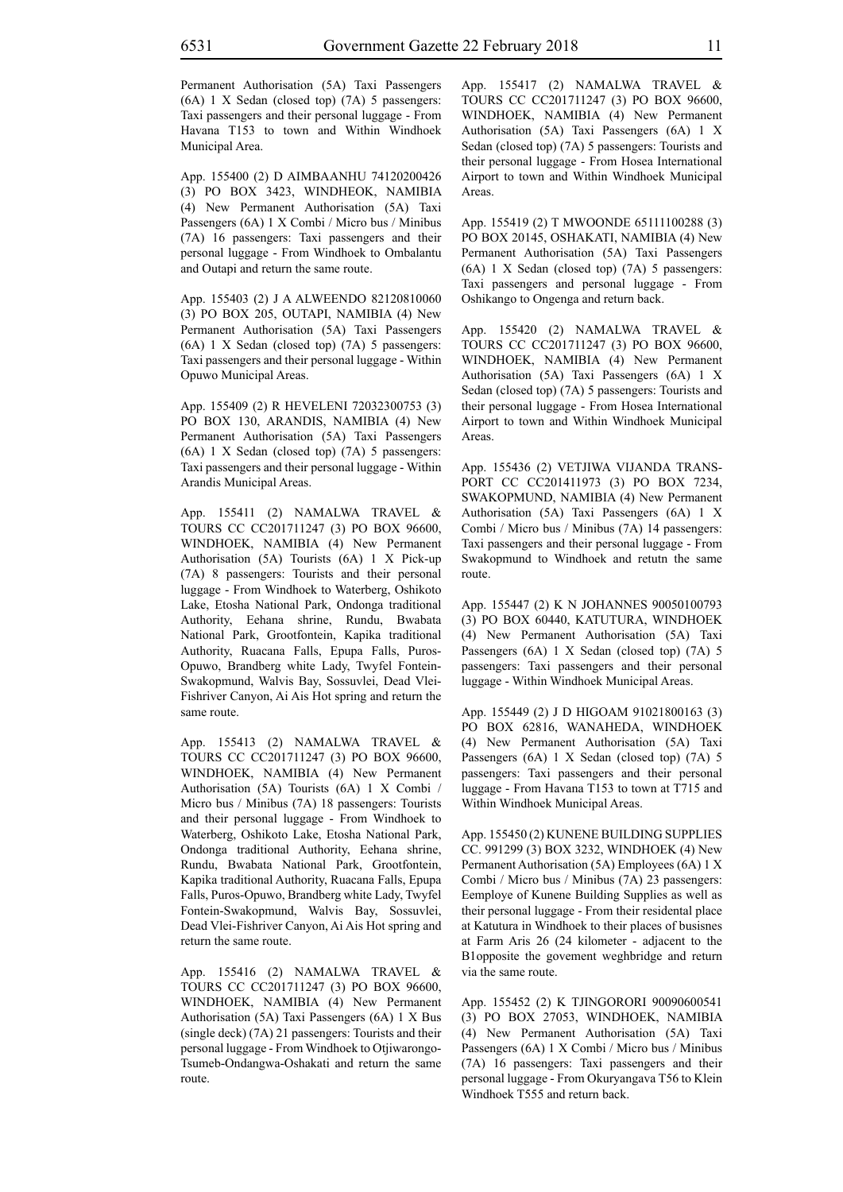Permanent Authorisation (5A) Taxi Passengers (6A) 1 X Sedan (closed top) (7A) 5 passengers: Taxi passengers and their personal luggage - From Havana T153 to town and Within Windhoek Municipal Area.

App. 155400 (2) D AIMBAANHU 74120200426 (3) PO BOX 3423, WINDHEOK, NAMIBIA (4) New Permanent Authorisation (5A) Taxi Passengers (6A) 1 X Combi / Micro bus / Minibus (7A) 16 passengers: Taxi passengers and their personal luggage - From Windhoek to Ombalantu and Outapi and return the same route.

App. 155403 (2) J A ALWEENDO 82120810060 (3) PO BOX 205, OUTAPI, NAMIBIA (4) New Permanent Authorisation (5A) Taxi Passengers (6A) 1 X Sedan (closed top) (7A) 5 passengers: Taxi passengers and their personal luggage - Within Opuwo Municipal Areas.

App. 155409 (2) R HEVELENI 72032300753 (3) PO BOX 130, ARANDIS, NAMIBIA (4) New Permanent Authorisation (5A) Taxi Passengers (6A) 1 X Sedan (closed top) (7A) 5 passengers: Taxi passengers and their personal luggage - Within Arandis Municipal Areas.

App. 155411 (2) NAMALWA TRAVEL & TOURS CC CC201711247 (3) PO BOX 96600, WINDHOEK, NAMIBIA (4) New Permanent Authorisation (5A) Tourists (6A) 1 X Pick-up (7A) 8 passengers: Tourists and their personal luggage - From Windhoek to Waterberg, Oshikoto Lake, Etosha National Park, Ondonga traditional Authority, Eehana shrine, Rundu, Bwabata National Park, Grootfontein, Kapika traditional Authority, Ruacana Falls, Epupa Falls, Puros-Opuwo, Brandberg white Lady, Twyfel Fontein-Swakopmund, Walvis Bay, Sossuvlei, Dead Vlei-Fishriver Canyon, Ai Ais Hot spring and return the same route.

App. 155413 (2) NAMALWA TRAVEL & TOURS CC CC201711247 (3) PO BOX 96600, WINDHOEK, NAMIBIA (4) New Permanent Authorisation (5A) Tourists (6A) 1 X Combi / Micro bus / Minibus (7A) 18 passengers: Tourists and their personal luggage - From Windhoek to Waterberg, Oshikoto Lake, Etosha National Park, Ondonga traditional Authority, Eehana shrine, Rundu, Bwabata National Park, Grootfontein, Kapika traditional Authority, Ruacana Falls, Epupa Falls, Puros-Opuwo, Brandberg white Lady, Twyfel Fontein-Swakopmund, Walvis Bay, Sossuvlei, Dead Vlei-Fishriver Canyon, Ai Ais Hot spring and return the same route.

App. 155416 (2) NAMALWA TRAVEL & TOURS CC CC201711247 (3) PO BOX 96600, WINDHOEK, NAMIBIA (4) New Permanent Authorisation (5A) Taxi Passengers (6A) 1 X Bus (single deck) (7A) 21 passengers: Tourists and their personal luggage - From Windhoek to Otjiwarongo-Tsumeb-Ondangwa-Oshakati and return the same route.

App. 155417 (2) NAMALWA TRAVEL & TOURS CC CC201711247 (3) PO BOX 96600, WINDHOEK, NAMIBIA (4) New Permanent Authorisation (5A) Taxi Passengers (6A) 1 X Sedan (closed top) (7A) 5 passengers: Tourists and their personal luggage - From Hosea International Airport to town and Within Windhoek Municipal Areas.

App. 155419 (2) T MWOONDE 65111100288 (3) PO BOX 20145, OSHAKATI, NAMIBIA (4) New Permanent Authorisation (5A) Taxi Passengers (6A) 1 X Sedan (closed top) (7A) 5 passengers: Taxi passengers and personal luggage - From Oshikango to Ongenga and return back.

App. 155420 (2) NAMALWA TRAVEL & TOURS CC CC201711247 (3) PO BOX 96600, WINDHOEK, NAMIBIA (4) New Permanent Authorisation (5A) Taxi Passengers (6A) 1 X Sedan (closed top) (7A) 5 passengers: Tourists and their personal luggage - From Hosea International Airport to town and Within Windhoek Municipal Areas.

App. 155436 (2) VETJIWA VIJANDA TRANS-PORT CC CC201411973 (3) PO BOX 7234, SWAKOPMUND, NAMIBIA (4) New Permanent Authorisation (5A) Taxi Passengers (6A) 1 X Combi / Micro bus / Minibus (7A) 14 passengers: Taxi passengers and their personal luggage - From Swakopmund to Windhoek and retutn the same route.

App. 155447 (2) K N JOHANNES 90050100793 (3) PO BOX 60440, KATUTURA, WINDHOEK (4) New Permanent Authorisation (5A) Taxi Passengers (6A) 1 X Sedan (closed top) (7A) 5 passengers: Taxi passengers and their personal luggage - Within Windhoek Municipal Areas.

App. 155449 (2) J D HIGOAM 91021800163 (3) PO BOX 62816, WANAHEDA, WINDHOEK (4) New Permanent Authorisation (5A) Taxi Passengers (6A) 1 X Sedan (closed top) (7A) 5 passengers: Taxi passengers and their personal luggage - From Havana T153 to town at T715 and Within Windhoek Municipal Areas.

App. 155450 (2) KUNENE BUILDING SUPPLIES CC. 991299 (3) BOX 3232, WINDHOEK (4) New Permanent Authorisation (5A) Employees (6A) 1 X Combi / Micro bus / Minibus (7A) 23 passengers: Eemploye of Kunene Building Supplies as well as their personal luggage - From their residental place at Katutura in Windhoek to their places of busisnes at Farm Aris 26 (24 kilometer - adjacent to the B1opposite the govement weghbridge and return via the same route.

App. 155452 (2) K TJINGORORI 90090600541 (3) PO BOX 27053, WINDHOEK, NAMIBIA (4) New Permanent Authorisation (5A) Taxi Passengers (6A) 1 X Combi / Micro bus / Minibus (7A) 16 passengers: Taxi passengers and their personal luggage - From Okuryangava T56 to Klein Windhoek T555 and return back.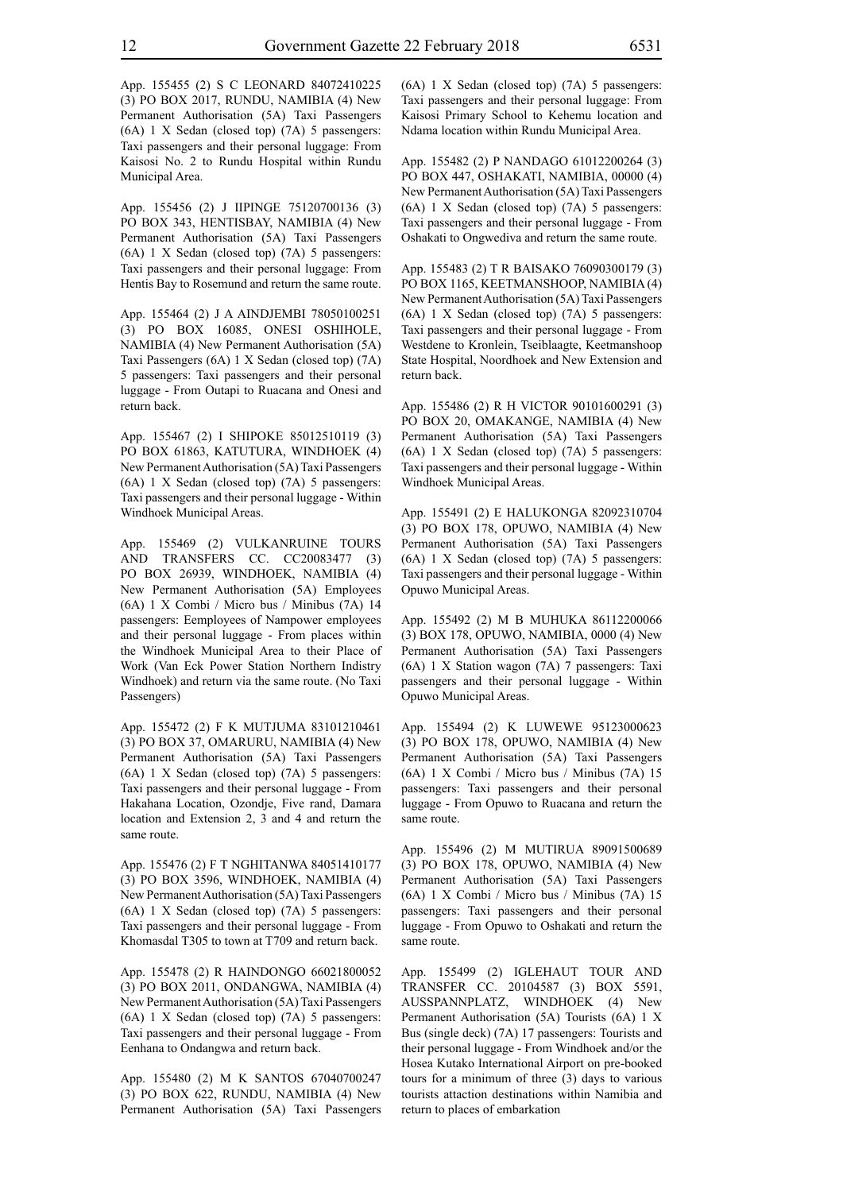App. 155455 (2) S C LEONARD 84072410225 (3) PO BOX 2017, RUNDU, NAMIBIA (4) New Permanent Authorisation (5A) Taxi Passengers (6A) 1 X Sedan (closed top) (7A) 5 passengers: Taxi passengers and their personal luggage: From Kaisosi No. 2 to Rundu Hospital within Rundu Municipal Area.

App. 155456 (2) J IIPINGE 75120700136 (3) PO BOX 343, HENTISBAY, NAMIBIA (4) New Permanent Authorisation (5A) Taxi Passengers (6A) 1 X Sedan (closed top) (7A) 5 passengers: Taxi passengers and their personal luggage: From Hentis Bay to Rosemund and return the same route.

App. 155464 (2) J A AINDJEMBI 78050100251 (3) PO BOX 16085, ONESI OSHIHOLE, NAMIBIA (4) New Permanent Authorisation (5A) Taxi Passengers (6A) 1 X Sedan (closed top) (7A) 5 passengers: Taxi passengers and their personal luggage - From Outapi to Ruacana and Onesi and return back.

App. 155467 (2) I SHIPOKE 85012510119 (3) PO BOX 61863, KATUTURA, WINDHOEK (4) New Permanent Authorisation (5A) Taxi Passengers (6A) 1 X Sedan (closed top) (7A) 5 passengers: Taxi passengers and their personal luggage - Within Windhoek Municipal Areas.

App. 155469 (2) VULKANRUINE TOURS AND TRANSFERS CC. CC20083477 (3) PO BOX 26939, WINDHOEK, NAMIBIA (4) New Permanent Authorisation (5A) Employees (6A) 1 X Combi / Micro bus / Minibus (7A) 14 passengers: Eemployees of Nampower employees and their personal luggage - From places within the Windhoek Municipal Area to their Place of Work (Van Eck Power Station Northern Indistry Windhoek) and return via the same route. (No Taxi Passengers)

App. 155472 (2) F K MUTJUMA 83101210461 (3) PO BOX 37, OMARURU, NAMIBIA (4) New Permanent Authorisation (5A) Taxi Passengers (6A) 1 X Sedan (closed top) (7A) 5 passengers: Taxi passengers and their personal luggage - From Hakahana Location, Ozondje, Five rand, Damara location and Extension 2, 3 and 4 and return the same route.

App. 155476 (2) F T NGHITANWA 84051410177 (3) PO BOX 3596, WINDHOEK, NAMIBIA (4) New Permanent Authorisation (5A) Taxi Passengers (6A) 1 X Sedan (closed top) (7A) 5 passengers: Taxi passengers and their personal luggage - From Khomasdal T305 to town at T709 and return back.

App. 155478 (2) R HAINDONGO 66021800052 (3) PO BOX 2011, ONDANGWA, NAMIBIA (4) New Permanent Authorisation (5A) Taxi Passengers (6A) 1 X Sedan (closed top) (7A) 5 passengers: Taxi passengers and their personal luggage - From Eenhana to Ondangwa and return back.

App. 155480 (2) M K SANTOS 67040700247 (3) PO BOX 622, RUNDU, NAMIBIA (4) New Permanent Authorisation (5A) Taxi Passengers (6A) 1 X Sedan (closed top) (7A) 5 passengers: Taxi passengers and their personal luggage: From Kaisosi Primary School to Kehemu location and Ndama location within Rundu Municipal Area.

App. 155482 (2) P NANDAGO 61012200264 (3) PO BOX 447, OSHAKATI, NAMIBIA, 00000 (4) New Permanent Authorisation (5A) Taxi Passengers (6A) 1 X Sedan (closed top) (7A) 5 passengers: Taxi passengers and their personal luggage - From Oshakati to Ongwediva and return the same route.

App. 155483 (2) T R BAISAKO 76090300179 (3) PO BOX 1165, KEETMANSHOOP, NAMIBIA (4) New Permanent Authorisation (5A) Taxi Passengers (6A) 1 X Sedan (closed top) (7A) 5 passengers: Taxi passengers and their personal luggage - From Westdene to Kronlein, Tseiblaagte, Keetmanshoop State Hospital, Noordhoek and New Extension and return back.

App. 155486 (2) R H VICTOR 90101600291 (3) PO BOX 20, OMAKANGE, NAMIBIA (4) New Permanent Authorisation (5A) Taxi Passengers (6A) 1 X Sedan (closed top) (7A) 5 passengers: Taxi passengers and their personal luggage - Within Windhoek Municipal Areas.

App. 155491 (2) E HALUKONGA 82092310704 (3) PO BOX 178, OPUWO, NAMIBIA (4) New Permanent Authorisation (5A) Taxi Passengers (6A) 1 X Sedan (closed top) (7A) 5 passengers: Taxi passengers and their personal luggage - Within Opuwo Municipal Areas.

App. 155492 (2) M B MUHUKA 86112200066 (3) BOX 178, OPUWO, NAMIBIA, 0000 (4) New Permanent Authorisation (5A) Taxi Passengers (6A) 1 X Station wagon (7A) 7 passengers: Taxi passengers and their personal luggage - Within Opuwo Municipal Areas.

App. 155494 (2) K LUWEWE 95123000623 (3) PO BOX 178, OPUWO, NAMIBIA (4) New Permanent Authorisation (5A) Taxi Passengers (6A) 1 X Combi / Micro bus / Minibus (7A) 15 passengers: Taxi passengers and their personal luggage - From Opuwo to Ruacana and return the same route.

App. 155496 (2) M MUTIRUA 89091500689 (3) PO BOX 178, OPUWO, NAMIBIA (4) New Permanent Authorisation (5A) Taxi Passengers (6A) 1 X Combi / Micro bus / Minibus (7A) 15 passengers: Taxi passengers and their personal luggage - From Opuwo to Oshakati and return the same route.

App. 155499 (2) IGLEHAUT TOUR AND TRANSFER CC. 20104587 (3) BOX 5591, AUSSPANNPLATZ, WINDHOEK (4) New Permanent Authorisation (5A) Tourists (6A) 1 X Bus (single deck) (7A) 17 passengers: Tourists and their personal luggage - From Windhoek and/or the Hosea Kutako International Airport on pre-booked tours for a minimum of three (3) days to various tourists attaction destinations within Namibia and return to places of embarkation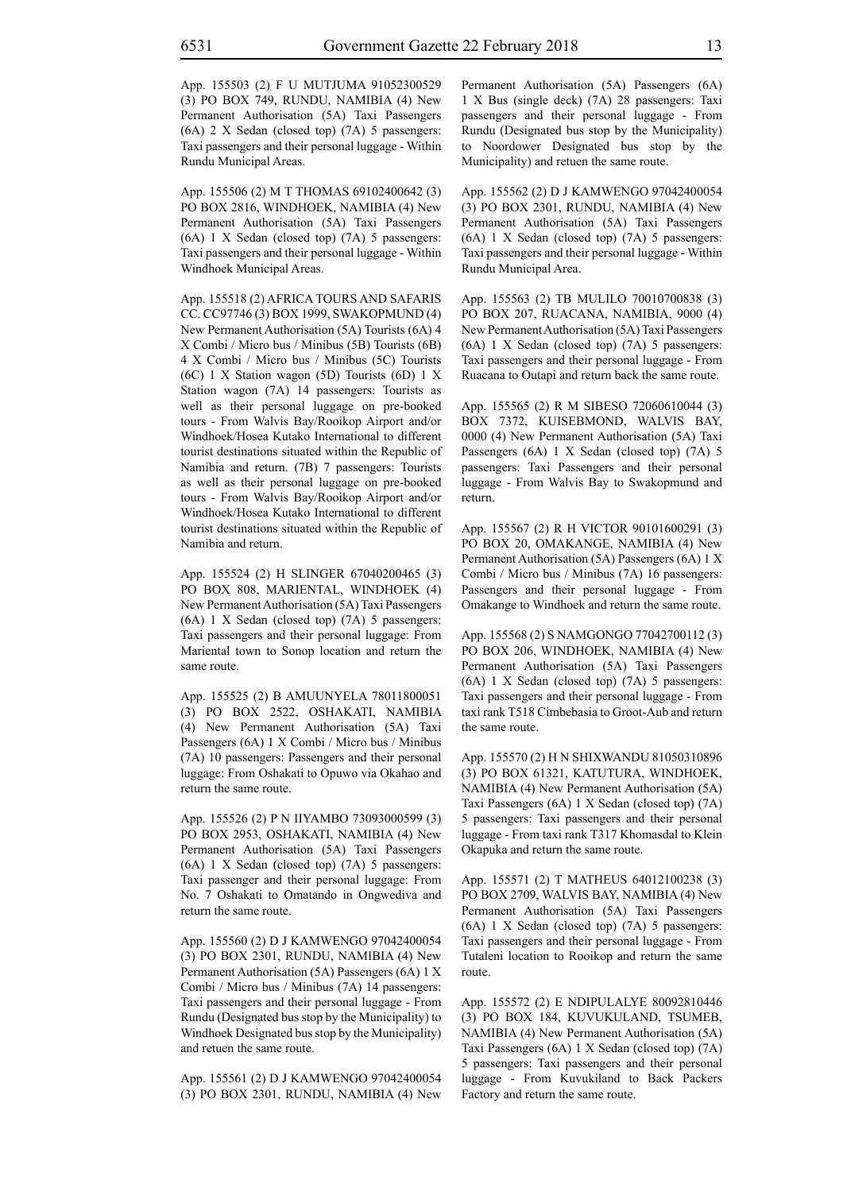App. 155503 (2) F U MUTJUMA 91052300529 (3) PO BOX 749, RUNDU, NAMIBIA (4) New Permanent Authorisation (5A) Taxi Passengers (6A) 2 X Sedan (closed top) (7A) 5 passengers: Taxi passengers and their personal luggage - Within Rundu Municipal Areas.

App. 155506 (2) M T THOMAS 69102400642 (3) PO BOX 2816, WINDHOEK, NAMIBIA (4) New Permanent Authorisation (5A) Taxi Passengers (6A) 1 X Sedan (closed top) (7A) 5 passengers: Taxi passengers and their personal luggage - Within Windhoek Municipal Areas.

App. 155518 (2) AFRICA TOURS AND SAFARIS CC. CC97746 (3) BOX 1999, SWAKOPMUND (4) New Permanent Authorisation (5A) Tourists (6A) 4 X Combi / Micro bus / Minibus (5B) Tourists (6B) 4 X Combi / Micro bus / Minibus (5C) Tourists (6C) 1 X Station wagon (5D) Tourists (6D) 1 X Station wagon (7A) 14 passengers: Tourists as well as their personal luggage on pre-booked tours - From Walvis Bay/Rooikop Airport and/or Windhoek/Hosea Kutako International to different tourist destinations situated within the Republic of Namibia and return. (7B) 7 passengers: Tourists as well as their personal luggage on pre-booked tours - From Walvis Bay/Rooikop Airport and/or Windhoek/Hosea Kutako International to different tourist destinations situated within the Republic of Namibia and return.

App. 155524 (2) H SLINGER 67040200465 (3) PO BOX 808, MARIENTAL, WINDHOEK (4) New Permanent Authorisation (5A) Taxi Passengers (6A) 1 X Sedan (closed top) (7A) 5 passengers: Taxi passengers and their personal luggage: From Mariental town to Sonop location and return the same route.

App. 155525 (2) B AMUUNYELA 78011800051 (3) PO BOX 2522, OSHAKATI, NAMIBIA (4) New Permanent Authorisation (5A) Taxi Passengers (6A) 1 X Combi / Micro bus / Minibus (7A) 10 passengers: Passengers and their personal luggage: From Oshakati to Opuwo via Okahao and return the same route.

App. 155526 (2) P N IIYAMBO 73093000599 (3) PO BOX 2953, OSHAKATI, NAMIBIA (4) New Permanent Authorisation (5A) Taxi Passengers (6A) 1 X Sedan (closed top) (7A) 5 passengers: Taxi passenger and their personal luggage: From No. 7 Oshakati to Omatando in Ongwediva and return the same route.

App. 155560 (2) D J KAMWENGO 97042400054 (3) PO BOX 2301, RUNDU, NAMIBIA (4) New Permanent Authorisation (5A) Passengers (6A) 1 X Combi / Micro bus / Minibus (7A) 14 passengers: Taxi passengers and their personal luggage - From Rundu (Designated bus stop by the Municipality) to Windhoek Designated bus stop by the Municipality) and retuen the same route.

App. 155561 (2) D J KAMWENGO 97042400054 (3) PO BOX 2301, RUNDU, NAMIBIA (4) New Permanent Authorisation (5A) Passengers (6A) 1 X Bus (single deck) (7A) 28 passengers: Taxi passengers and their personal luggage - From Rundu (Designated bus stop by the Municipality) to Noordower Designated bus stop by the Municipality) and retuen the same route.

App. 155562 (2) D J KAMWENGO 97042400054 (3) PO BOX 2301, RUNDU, NAMIBIA (4) New Permanent Authorisation (5A) Taxi Passengers (6A) 1 X Sedan (closed top) (7A) 5 passengers: Taxi passengers and their personal luggage - Within Rundu Municipal Area.

App. 155563 (2) TB MULILO 70010700838 (3) PO BOX 207, RUACANA, NAMIBIA, 9000 (4) New Permanent Authorisation (5A) Taxi Passengers (6A) 1 X Sedan (closed top) (7A) 5 passengers: Taxi passengers and their personal luggage - From Ruacana to Outapi and return back the same route.

App. 155565 (2) R M SIBESO 72060610044 (3) BOX 7372, KUISEBMOND, WALVIS BAY, 0000 (4) New Permanent Authorisation (5A) Taxi Passengers (6A) 1 X Sedan (closed top) (7A) 5 passengers: Taxi Passengers and their personal luggage - From Walvis Bay to Swakopmund and return.

App. 155567 (2) R H VICTOR 90101600291 (3) PO BOX 20, OMAKANGE, NAMIBIA (4) New Permanent Authorisation (5A) Passengers (6A) 1 X Combi / Micro bus / Minibus (7A) 16 passengers: Passengers and their personal luggage - From Omakange to Windhoek and return the same route.

App. 155568 (2) S NAMGONGO 77042700112 (3) PO BOX 206, WINDHOEK, NAMIBIA (4) New Permanent Authorisation (5A) Taxi Passengers (6A) 1 X Sedan (closed top) (7A) 5 passengers: Taxi passengers and their personal luggage - From taxi rank T518 Cimbebasia to Groot-Aub and return the same route.

App. 155570 (2) H N SHIXWANDU 81050310896 (3) PO BOX 61321, KATUTURA, WINDHOEK, NAMIBIA (4) New Permanent Authorisation (5A) Taxi Passengers (6A) 1 X Sedan (closed top) (7A) 5 passengers: Taxi passengers and their personal luggage - From taxi rank T317 Khomasdal to Klein Okapuka and return the same route.

App. 155571 (2) T MATHEUS 64012100238 (3) PO BOX 2709, WALVIS BAY, NAMIBIA (4) New Permanent Authorisation (5A) Taxi Passengers (6A) 1 X Sedan (closed top) (7A) 5 passengers: Taxi passengers and their personal luggage - From Tutaleni location to Rooikop and return the same route.

App. 155572 (2) E NDIPULALYE 80092810446 (3) PO BOX 184, KUVUKULAND, TSUMEB, NAMIBIA (4) New Permanent Authorisation (5A) Taxi Passengers (6A) 1 X Sedan (closed top) (7A) 5 passengers: Taxi passengers and their personal luggage - From Kuvukiland to Back Packers Factory and return the same route.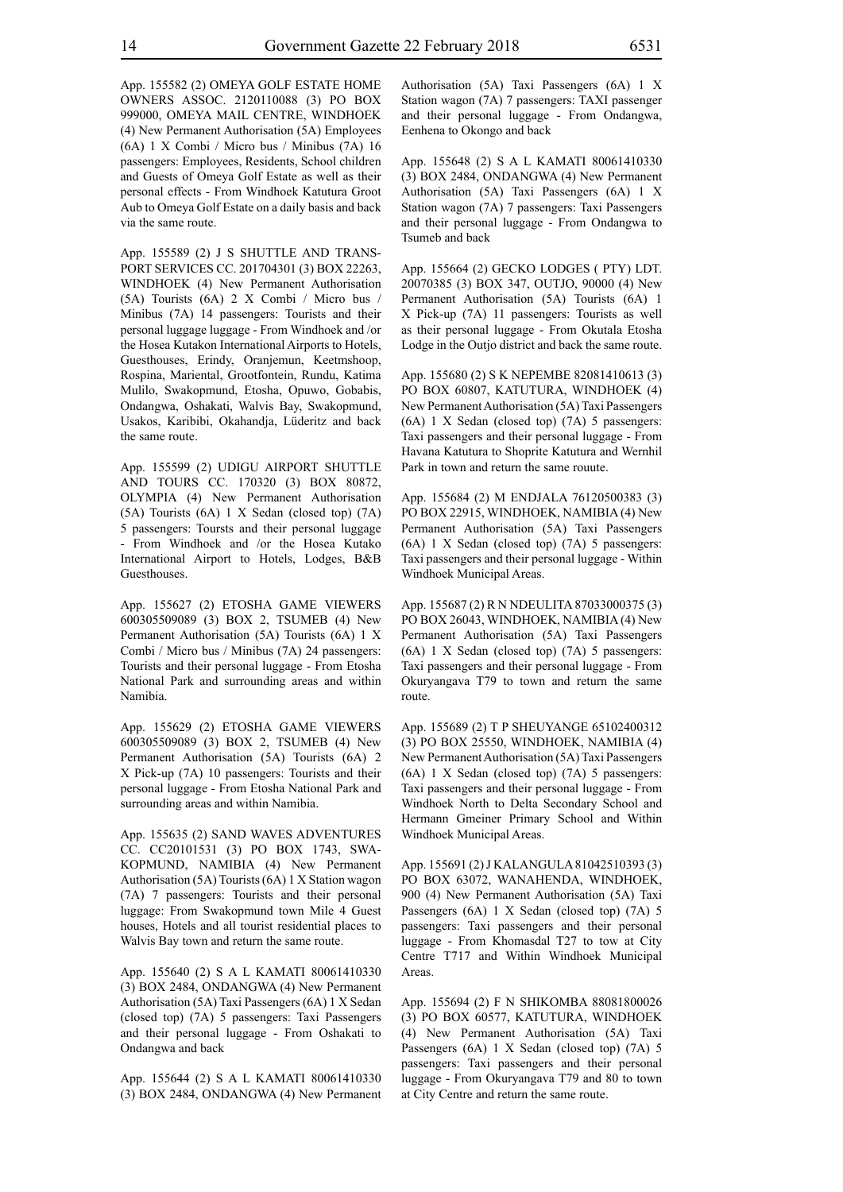App. 155582 (2) OMEYA GOLF ESTATE HOME OWNERS ASSOC. 2120110088 (3) PO BOX 999000, OMEYA MAIL CENTRE, WINDHOEK (4) New Permanent Authorisation (5A) Employees (6A) 1 X Combi / Micro bus / Minibus (7A) 16 passengers: Employees, Residents, School children and Guests of Omeya Golf Estate as well as their personal effects - From Windhoek Katutura Groot Aub to Omeya Golf Estate on a daily basis and back via the same route.

App. 155589 (2) J S SHUTTLE AND TRANS-PORT SERVICES CC. 201704301 (3) BOX 22263, WINDHOEK (4) New Permanent Authorisation (5A) Tourists (6A) 2 X Combi / Micro bus / Minibus (7A) 14 passengers: Tourists and their personal luggage luggage - From Windhoek and /or the Hosea Kutakon International Airports to Hotels, Guesthouses, Erindy, Oranjemun, Keetmshoop, Rospina, Mariental, Grootfontein, Rundu, Katima Mulilo, Swakopmund, Etosha, Opuwo, Gobabis, Ondangwa, Oshakati, Walvis Bay, Swakopmund, Usakos, Karibibi, Okahandja, Lüderitz and back the same route.

App. 155599 (2) UDIGU AIRPORT SHUTTLE AND TOURS CC. 170320 (3) BOX 80872, OLYMPIA (4) New Permanent Authorisation (5A) Tourists (6A) 1 X Sedan (closed top) (7A) 5 passengers: Toursts and their personal luggage - From Windhoek and /or the Hosea Kutako International Airport to Hotels, Lodges, B&B Guesthouses.

App. 155627 (2) ETOSHA GAME VIEWERS 600305509089 (3) BOX 2, TSUMEB (4) New Permanent Authorisation (5A) Tourists (6A) 1 X Combi / Micro bus / Minibus (7A) 24 passengers: Tourists and their personal luggage - From Etosha National Park and surrounding areas and within Namibia.

App. 155629 (2) ETOSHA GAME VIEWERS 600305509089 (3) BOX 2, TSUMEB (4) New Permanent Authorisation (5A) Tourists (6A) 2 X Pick-up (7A) 10 passengers: Tourists and their personal luggage - From Etosha National Park and surrounding areas and within Namibia.

App. 155635 (2) SAND WAVES ADVENTURES CC. CC20101531 (3) PO BOX 1743, SWA-KOPMUND, NAMIBIA (4) New Permanent Authorisation (5A) Tourists (6A) 1 X Station wagon (7A) 7 passengers: Tourists and their personal luggage: From Swakopmund town Mile 4 Guest houses, Hotels and all tourist residential places to Walvis Bay town and return the same route.

App. 155640 (2) S A L KAMATI 80061410330 (3) BOX 2484, ONDANGWA (4) New Permanent Authorisation (5A) Taxi Passengers (6A) 1 X Sedan (closed top) (7A) 5 passengers: Taxi Passengers and their personal luggage - From Oshakati to Ondangwa and back

App. 155644 (2) S A L KAMATI 80061410330 (3) BOX 2484, ONDANGWA (4) New Permanent Authorisation (5A) Taxi Passengers (6A) 1 X Station wagon (7A) 7 passengers: TAXI passenger and their personal luggage - From Ondangwa, Eenhena to Okongo and back

App. 155648 (2) S A L KAMATI 80061410330 (3) BOX 2484, ONDANGWA (4) New Permanent Authorisation (5A) Taxi Passengers (6A) 1 X Station wagon (7A) 7 passengers: Taxi Passengers and their personal luggage - From Ondangwa to Tsumeb and back

App. 155664 (2) GECKO LODGES ( PTY) LDT. 20070385 (3) BOX 347, OUTJO, 90000 (4) New Permanent Authorisation (5A) Tourists (6A) 1 X Pick-up (7A) 11 passengers: Tourists as well as their personal luggage - From Okutala Etosha Lodge in the Outjo district and back the same route.

App. 155680 (2) S K NEPEMBE 82081410613 (3) PO BOX 60807, KATUTURA, WINDHOEK (4) New Permanent Authorisation (5A) Taxi Passengers (6A) 1 X Sedan (closed top) (7A) 5 passengers: Taxi passengers and their personal luggage - From Havana Katutura to Shoprite Katutura and Wernhil Park in town and return the same rouute.

App. 155684 (2) M ENDJALA 76120500383 (3) PO BOX 22915, WINDHOEK, NAMIBIA (4) New Permanent Authorisation (5A) Taxi Passengers (6A) 1 X Sedan (closed top) (7A) 5 passengers: Taxi passengers and their personal luggage - Within Windhoek Municipal Areas.

App. 155687 (2) R N NDEULITA 87033000375 (3) PO BOX 26043, WINDHOEK, NAMIBIA (4) New Permanent Authorisation (5A) Taxi Passengers (6A) 1 X Sedan (closed top) (7A) 5 passengers: Taxi passengers and their personal luggage - From Okuryangava T79 to town and return the same route.

App. 155689 (2) T P SHEUYANGE 65102400312 (3) PO BOX 25550, WINDHOEK, NAMIBIA (4) New Permanent Authorisation (5A) Taxi Passengers (6A) 1 X Sedan (closed top) (7A) 5 passengers: Taxi passengers and their personal luggage - From Windhoek North to Delta Secondary School and Hermann Gmeiner Primary School and Within Windhoek Municipal Areas.

App. 155691 (2) J KALANGULA 81042510393 (3) PO BOX 63072, WANAHENDA, WINDHOEK, 900 (4) New Permanent Authorisation (5A) Taxi Passengers (6A) 1 X Sedan (closed top) (7A) 5 passengers: Taxi passengers and their personal luggage - From Khomasdal T27 to tow at City Centre T717 and Within Windhoek Municipal **Areas**.

App. 155694 (2) F N SHIKOMBA 88081800026 (3) PO BOX 60577, KATUTURA, WINDHOEK (4) New Permanent Authorisation (5A) Taxi Passengers (6A) 1 X Sedan (closed top) (7A) 5 passengers: Taxi passengers and their personal luggage - From Okuryangava T79 and 80 to town at City Centre and return the same route.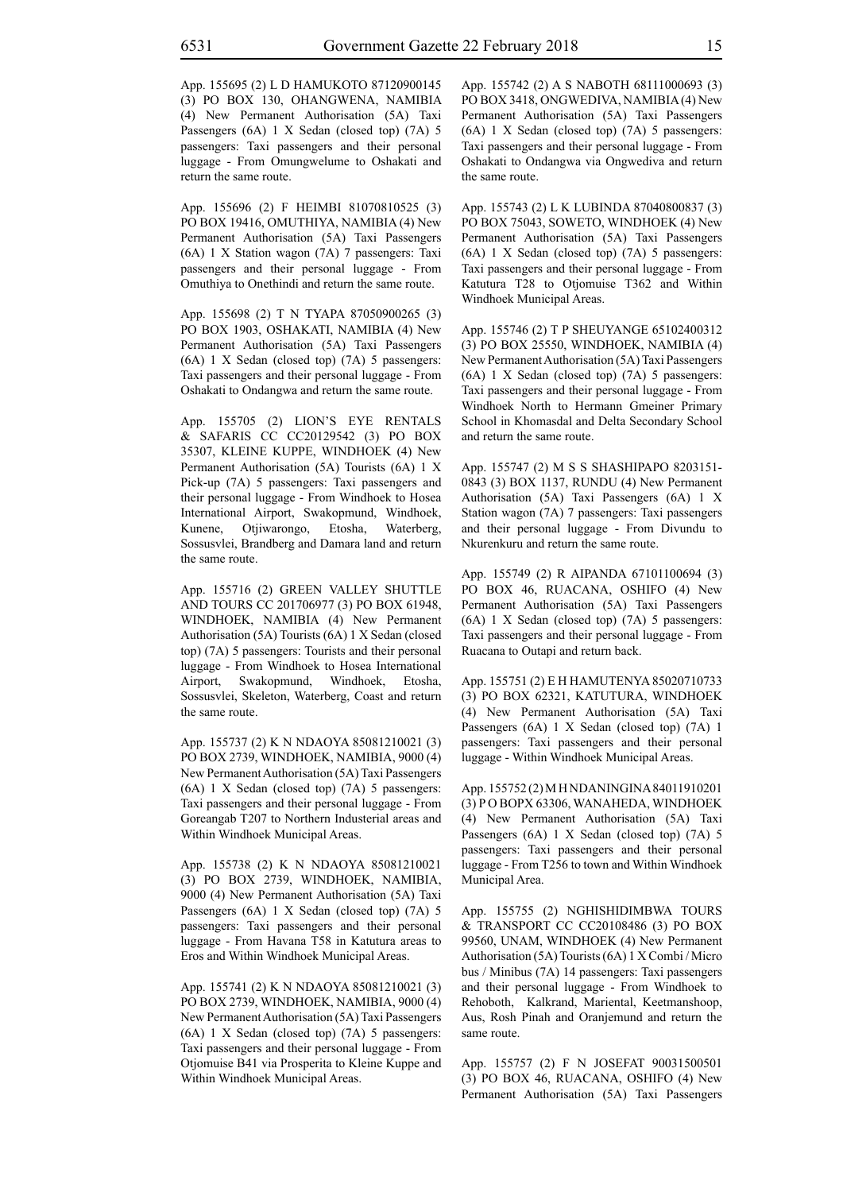App. 155695 (2) L D HAMUKOTO 87120900145 (3) PO BOX 130, OHANGWENA, NAMIBIA (4) New Permanent Authorisation (5A) Taxi Passengers (6A) 1 X Sedan (closed top) (7A) 5 passengers: Taxi passengers and their personal luggage - From Omungwelume to Oshakati and return the same route.

App. 155696 (2) F HEIMBI 81070810525 (3) PO BOX 19416, OMUTHIYA, NAMIBIA (4) New Permanent Authorisation (5A) Taxi Passengers (6A) 1 X Station wagon (7A) 7 passengers: Taxi passengers and their personal luggage - From Omuthiya to Onethindi and return the same route.

App. 155698 (2) T N TYAPA 87050900265 (3) PO BOX 1903, OSHAKATI, NAMIBIA (4) New Permanent Authorisation (5A) Taxi Passengers (6A) 1 X Sedan (closed top) (7A) 5 passengers: Taxi passengers and their personal luggage - From Oshakati to Ondangwa and return the same route.

App. 155705 (2) LION'S EYE RENTALS & SAFARIS CC CC20129542 (3) PO BOX 35307, KLEINE KUPPE, WINDHOEK (4) New Permanent Authorisation (5A) Tourists (6A) 1 X Pick-up (7A) 5 passengers: Taxi passengers and their personal luggage - From Windhoek to Hosea International Airport, Swakopmund, Windhoek, Kunene, Otjiwarongo, Etosha, Waterberg, Sossusvlei, Brandberg and Damara land and return the same route.

App. 155716 (2) GREEN VALLEY SHUTTLE AND TOURS CC 201706977 (3) PO BOX 61948, WINDHOEK, NAMIBIA (4) New Permanent Authorisation (5A) Tourists (6A) 1 X Sedan (closed top) (7A) 5 passengers: Tourists and their personal luggage - From Windhoek to Hosea International Airport, Swakopmund, Windhoek, Etosha, Sossusvlei, Skeleton, Waterberg, Coast and return the same route.

App. 155737 (2) K N NDAOYA 85081210021 (3) PO BOX 2739, WINDHOEK, NAMIBIA, 9000 (4) New Permanent Authorisation (5A) Taxi Passengers (6A) 1 X Sedan (closed top) (7A) 5 passengers: Taxi passengers and their personal luggage - From Goreangab T207 to Northern Industerial areas and Within Windhoek Municipal Areas.

App. 155738 (2) K N NDAOYA 85081210021 (3) PO BOX 2739, WINDHOEK, NAMIBIA, 9000 (4) New Permanent Authorisation (5A) Taxi Passengers (6A) 1 X Sedan (closed top) (7A) 5 passengers: Taxi passengers and their personal luggage - From Havana T58 in Katutura areas to Eros and Within Windhoek Municipal Areas.

App. 155741 (2) K N NDAOYA 85081210021 (3) PO BOX 2739, WINDHOEK, NAMIBIA, 9000 (4) New Permanent Authorisation (5A) Taxi Passengers (6A) 1 X Sedan (closed top) (7A) 5 passengers: Taxi passengers and their personal luggage - From Otjomuise B41 via Prosperita to Kleine Kuppe and Within Windhoek Municipal Areas.

App. 155742 (2) A S NABOTH 68111000693 (3) PO BOX 3418, ONGWEDIVA, NAMIBIA (4) New Permanent Authorisation (5A) Taxi Passengers (6A) 1 X Sedan (closed top) (7A) 5 passengers: Taxi passengers and their personal luggage - From Oshakati to Ondangwa via Ongwediva and return the same route.

App. 155743 (2) L K LUBINDA 87040800837 (3) PO BOX 75043, SOWETO, WINDHOEK (4) New Permanent Authorisation (5A) Taxi Passengers (6A) 1 X Sedan (closed top) (7A) 5 passengers: Taxi passengers and their personal luggage - From Katutura T28 to Otjomuise T362 and Within Windhoek Municipal Areas.

App. 155746 (2) T P SHEUYANGE 65102400312 (3) PO BOX 25550, WINDHOEK, NAMIBIA (4) New Permanent Authorisation (5A) Taxi Passengers (6A) 1 X Sedan (closed top) (7A) 5 passengers: Taxi passengers and their personal luggage - From Windhoek North to Hermann Gmeiner Primary School in Khomasdal and Delta Secondary School and return the same route.

App. 155747 (2) M S S SHASHIPAPO 8203151- 0843 (3) BOX 1137, RUNDU (4) New Permanent Authorisation (5A) Taxi Passengers (6A) 1 X Station wagon (7A) 7 passengers: Taxi passengers and their personal luggage - From Divundu to Nkurenkuru and return the same route.

App. 155749 (2) R AIPANDA 67101100694 (3) PO BOX 46, RUACANA, OSHIFO (4) New Permanent Authorisation (5A) Taxi Passengers (6A) 1 X Sedan (closed top) (7A) 5 passengers: Taxi passengers and their personal luggage - From Ruacana to Outapi and return back.

App. 155751 (2) E H HAMUTENYA 85020710733 (3) PO BOX 62321, KATUTURA, WINDHOEK (4) New Permanent Authorisation (5A) Taxi Passengers (6A) 1 X Sedan (closed top) (7A) 1 passengers: Taxi passengers and their personal luggage - Within Windhoek Municipal Areas.

App. 155752 (2) M H NDANINGINA 84011910201 (3) P O BOPX 63306, WANAHEDA, WINDHOEK (4) New Permanent Authorisation (5A) Taxi Passengers (6A) 1 X Sedan (closed top) (7A) 5 passengers: Taxi passengers and their personal luggage - From T256 to town and Within Windhoek Municipal Area.

App. 155755 (2) NGHISHIDIMBWA TOURS & TRANSPORT CC CC20108486 (3) PO BOX 99560, UNAM, WINDHOEK (4) New Permanent Authorisation (5A) Tourists (6A) 1 X Combi / Micro bus / Minibus (7A) 14 passengers: Taxi passengers and their personal luggage - From Windhoek to Rehoboth, Kalkrand, Mariental, Keetmanshoop, Aus, Rosh Pinah and Oranjemund and return the same route.

App. 155757 (2) F N JOSEFAT 90031500501 (3) PO BOX 46, RUACANA, OSHIFO (4) New Permanent Authorisation (5A) Taxi Passengers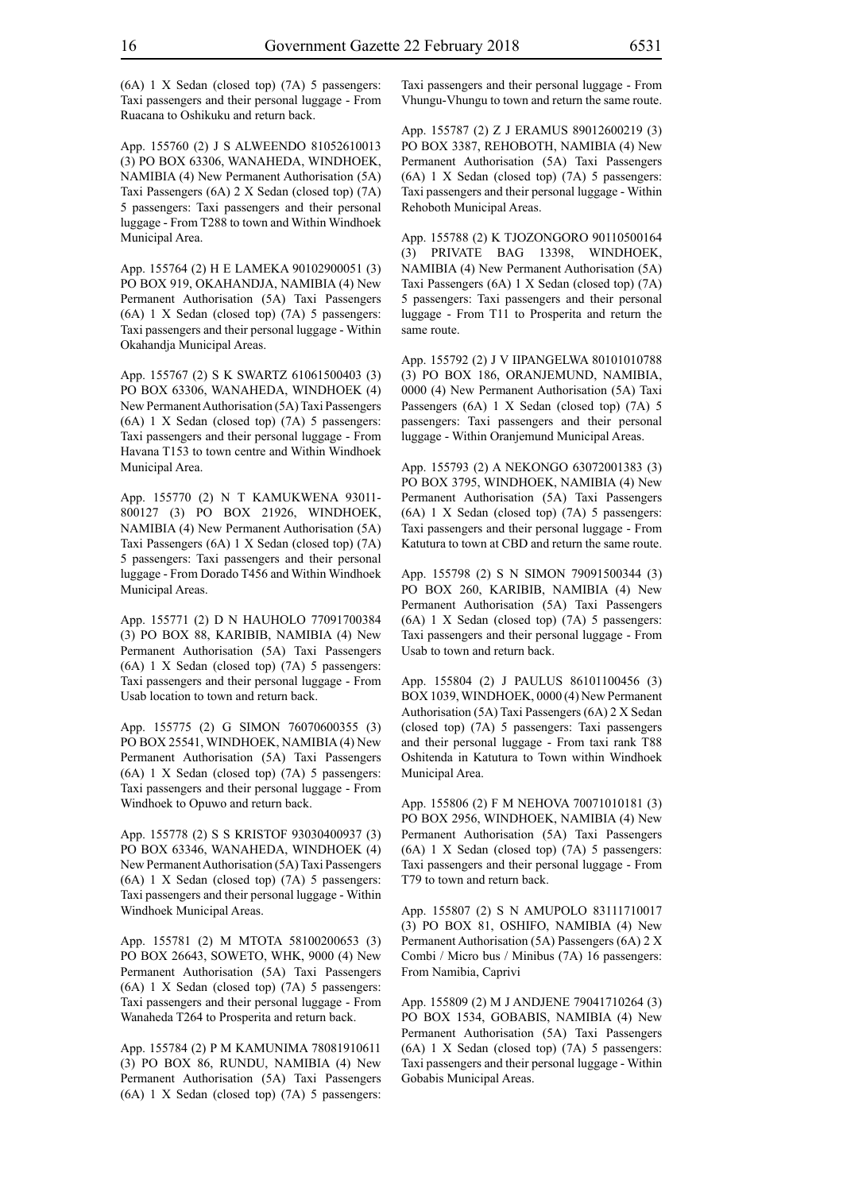(6A) 1 X Sedan (closed top) (7A) 5 passengers: Taxi passengers and their personal luggage - From Ruacana to Oshikuku and return back.

App. 155760 (2) J S ALWEENDO 81052610013 (3) PO BOX 63306, WANAHEDA, WINDHOEK, NAMIBIA (4) New Permanent Authorisation (5A) Taxi Passengers (6A) 2 X Sedan (closed top) (7A) 5 passengers: Taxi passengers and their personal luggage - From T288 to town and Within Windhoek Municipal Area.

App. 155764 (2) H E LAMEKA 90102900051 (3) PO BOX 919, OKAHANDJA, NAMIBIA (4) New Permanent Authorisation (5A) Taxi Passengers (6A) 1 X Sedan (closed top) (7A) 5 passengers: Taxi passengers and their personal luggage - Within Okahandja Municipal Areas.

App. 155767 (2) S K SWARTZ 61061500403 (3) PO BOX 63306, WANAHEDA, WINDHOEK (4) New Permanent Authorisation (5A) Taxi Passengers (6A) 1 X Sedan (closed top) (7A) 5 passengers: Taxi passengers and their personal luggage - From Havana T153 to town centre and Within Windhoek Municipal Area.

App. 155770 (2) N T KAMUKWENA 93011- 800127 (3) PO BOX 21926, WINDHOEK, NAMIBIA (4) New Permanent Authorisation (5A) Taxi Passengers (6A) 1 X Sedan (closed top) (7A) 5 passengers: Taxi passengers and their personal luggage - From Dorado T456 and Within Windhoek Municipal Areas.

App. 155771 (2) D N HAUHOLO 77091700384 (3) PO BOX 88, KARIBIB, NAMIBIA (4) New Permanent Authorisation (5A) Taxi Passengers (6A) 1 X Sedan (closed top) (7A) 5 passengers: Taxi passengers and their personal luggage - From Usab location to town and return back.

App. 155775 (2) G SIMON 76070600355 (3) PO BOX 25541, WINDHOEK, NAMIBIA (4) New Permanent Authorisation (5A) Taxi Passengers (6A) 1 X Sedan (closed top) (7A) 5 passengers: Taxi passengers and their personal luggage - From Windhoek to Opuwo and return back.

App. 155778 (2) S S KRISTOF 93030400937 (3) PO BOX 63346, WANAHEDA, WINDHOEK (4) New Permanent Authorisation (5A) Taxi Passengers (6A) 1 X Sedan (closed top) (7A) 5 passengers: Taxi passengers and their personal luggage - Within Windhoek Municipal Areas.

App. 155781 (2) M MTOTA 58100200653 (3) PO BOX 26643, SOWETO, WHK, 9000 (4) New Permanent Authorisation (5A) Taxi Passengers (6A) 1 X Sedan (closed top) (7A) 5 passengers: Taxi passengers and their personal luggage - From Wanaheda T264 to Prosperita and return back.

App. 155784 (2) P M KAMUNIMA 78081910611 (3) PO BOX 86, RUNDU, NAMIBIA (4) New Permanent Authorisation (5A) Taxi Passengers (6A) 1 X Sedan (closed top) (7A) 5 passengers: Taxi passengers and their personal luggage - From Vhungu-Vhungu to town and return the same route.

App. 155787 (2) Z J ERAMUS 89012600219 (3) PO BOX 3387, REHOBOTH, NAMIBIA (4) New Permanent Authorisation (5A) Taxi Passengers (6A) 1 X Sedan (closed top) (7A) 5 passengers: Taxi passengers and their personal luggage - Within Rehoboth Municipal Areas.

App. 155788 (2) K TJOZONGORO 90110500164 (3) PRIVATE BAG 13398, WINDHOEK, NAMIBIA (4) New Permanent Authorisation (5A) Taxi Passengers (6A) 1 X Sedan (closed top) (7A) 5 passengers: Taxi passengers and their personal luggage - From T11 to Prosperita and return the same route.

App. 155792 (2) J V IIPANGELWA 80101010788 (3) PO BOX 186, ORANJEMUND, NAMIBIA, 0000 (4) New Permanent Authorisation (5A) Taxi Passengers (6A) 1 X Sedan (closed top) (7A) 5 passengers: Taxi passengers and their personal luggage - Within Oranjemund Municipal Areas.

App. 155793 (2) A NEKONGO 63072001383 (3) PO BOX 3795, WINDHOEK, NAMIBIA (4) New Permanent Authorisation (5A) Taxi Passengers (6A) 1 X Sedan (closed top) (7A) 5 passengers: Taxi passengers and their personal luggage - From Katutura to town at CBD and return the same route.

App. 155798 (2) S N SIMON 79091500344 (3) PO BOX 260, KARIBIB, NAMIBIA (4) New Permanent Authorisation (5A) Taxi Passengers (6A) 1 X Sedan (closed top) (7A) 5 passengers: Taxi passengers and their personal luggage - From Usab to town and return back.

App. 155804 (2) J PAULUS 86101100456 (3) BOX 1039, WINDHOEK, 0000 (4) New Permanent Authorisation (5A) Taxi Passengers (6A) 2 X Sedan (closed top) (7A) 5 passengers: Taxi passengers and their personal luggage - From taxi rank T88 Oshitenda in Katutura to Town within Windhoek Municipal Area.

App. 155806 (2) F M NEHOVA 70071010181 (3) PO BOX 2956, WINDHOEK, NAMIBIA (4) New Permanent Authorisation (5A) Taxi Passengers (6A) 1 X Sedan (closed top) (7A) 5 passengers: Taxi passengers and their personal luggage - From T79 to town and return back.

App. 155807 (2) S N AMUPOLO 83111710017 (3) PO BOX 81, OSHIFO, NAMIBIA (4) New Permanent Authorisation (5A) Passengers (6A) 2 X Combi / Micro bus / Minibus (7A) 16 passengers: From Namibia, Caprivi

App. 155809 (2) M J ANDJENE 79041710264 (3) PO BOX 1534, GOBABIS, NAMIBIA (4) New Permanent Authorisation (5A) Taxi Passengers (6A) 1 X Sedan (closed top) (7A) 5 passengers: Taxi passengers and their personal luggage - Within Gobabis Municipal Areas.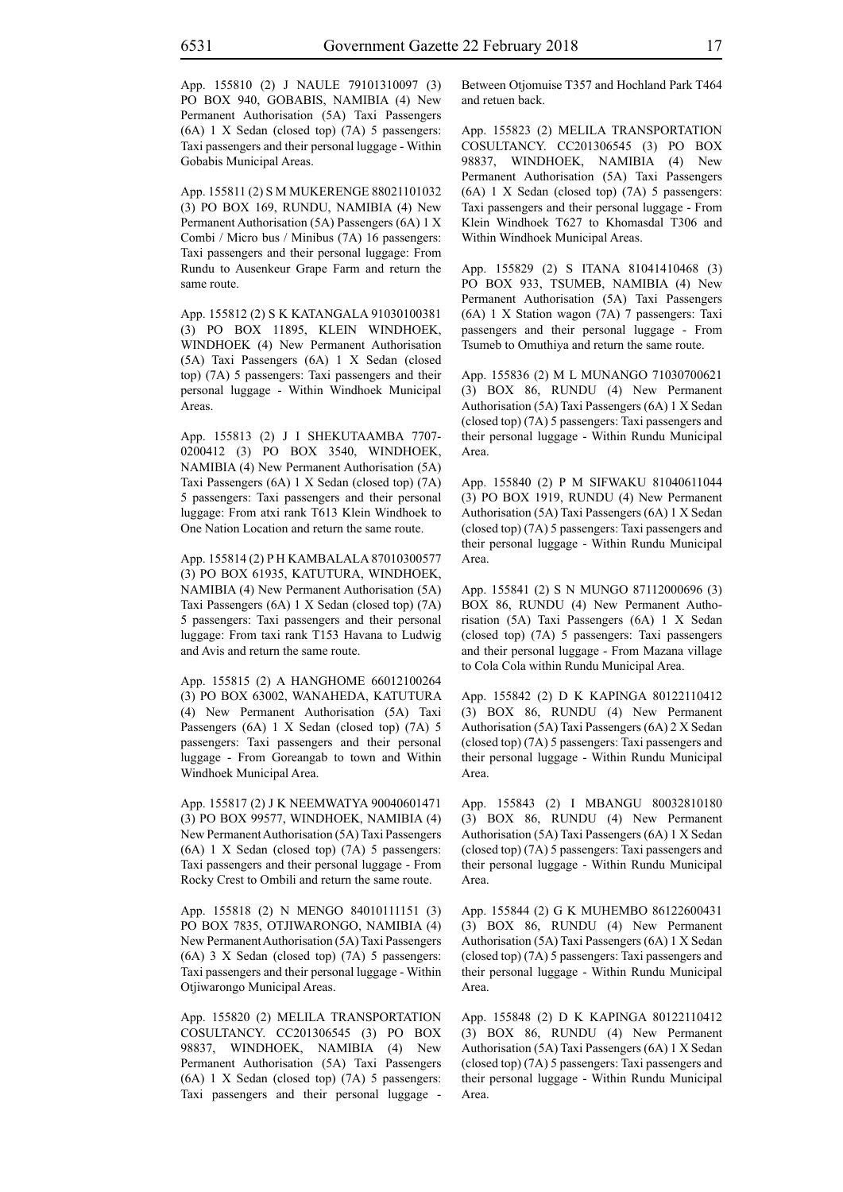App. 155810 (2) J NAULE 79101310097 (3) PO BOX 940, GOBABIS, NAMIBIA (4) New Permanent Authorisation (5A) Taxi Passengers (6A) 1 X Sedan (closed top) (7A) 5 passengers: Taxi passengers and their personal luggage - Within Gobabis Municipal Areas.

App. 155811 (2) S M MUKERENGE 88021101032 (3) PO BOX 169, RUNDU, NAMIBIA (4) New Permanent Authorisation (5A) Passengers (6A) 1 X Combi / Micro bus / Minibus (7A) 16 passengers: Taxi passengers and their personal luggage: From Rundu to Ausenkeur Grape Farm and return the same route.

App. 155812 (2) S K KATANGALA 91030100381 (3) PO BOX 11895, KLEIN WINDHOEK, WINDHOEK (4) New Permanent Authorisation (5A) Taxi Passengers (6A) 1 X Sedan (closed top) (7A) 5 passengers: Taxi passengers and their personal luggage - Within Windhoek Municipal Areas.

App. 155813 (2) J I SHEKUTAAMBA 7707- 0200412 (3) PO BOX 3540, WINDHOEK, NAMIBIA (4) New Permanent Authorisation (5A) Taxi Passengers (6A) 1 X Sedan (closed top) (7A) 5 passengers: Taxi passengers and their personal luggage: From atxi rank T613 Klein Windhoek to One Nation Location and return the same route.

App. 155814 (2) P H KAMBALALA 87010300577 (3) PO BOX 61935, KATUTURA, WINDHOEK, NAMIBIA (4) New Permanent Authorisation (5A) Taxi Passengers (6A) 1 X Sedan (closed top) (7A) 5 passengers: Taxi passengers and their personal luggage: From taxi rank T153 Havana to Ludwig and Avis and return the same route.

App. 155815 (2) A HANGHOME 66012100264 (3) PO BOX 63002, WANAHEDA, KATUTURA (4) New Permanent Authorisation (5A) Taxi Passengers (6A) 1 X Sedan (closed top) (7A) 5 passengers: Taxi passengers and their personal luggage - From Goreangab to town and Within Windhoek Municipal Area.

App. 155817 (2) J K NEEMWATYA 90040601471 (3) PO BOX 99577, WINDHOEK, NAMIBIA (4) New Permanent Authorisation (5A) Taxi Passengers (6A) 1 X Sedan (closed top) (7A) 5 passengers: Taxi passengers and their personal luggage - From Rocky Crest to Ombili and return the same route.

App. 155818 (2) N MENGO 84010111151 (3) PO BOX 7835, OTJIWARONGO, NAMIBIA (4) New Permanent Authorisation (5A) Taxi Passengers (6A) 3 X Sedan (closed top) (7A) 5 passengers: Taxi passengers and their personal luggage - Within Otjiwarongo Municipal Areas.

App. 155820 (2) MELILA TRANSPORTATION COSULTANCY. CC201306545 (3) PO BOX 98837, WINDHOEK, NAMIBIA (4) New Permanent Authorisation (5A) Taxi Passengers (6A) 1 X Sedan (closed top) (7A) 5 passengers: Taxi passengers and their personal luggage - Between Otjomuise T357 and Hochland Park T464 and retuen back.

App. 155823 (2) MELILA TRANSPORTATION COSULTANCY. CC201306545 (3) PO BOX 98837, WINDHOEK, NAMIBIA (4) New Permanent Authorisation (5A) Taxi Passengers (6A) 1 X Sedan (closed top) (7A) 5 passengers: Taxi passengers and their personal luggage - From Klein Windhoek T627 to Khomasdal T306 and Within Windhoek Municipal Areas.

App. 155829 (2) S ITANA 81041410468 (3) PO BOX 933, TSUMEB, NAMIBIA (4) New Permanent Authorisation (5A) Taxi Passengers (6A) 1 X Station wagon (7A) 7 passengers: Taxi passengers and their personal luggage - From Tsumeb to Omuthiya and return the same route.

App. 155836 (2) M L MUNANGO 71030700621 (3) BOX 86, RUNDU (4) New Permanent Authorisation (5A) Taxi Passengers (6A) 1 X Sedan (closed top) (7A) 5 passengers: Taxi passengers and their personal luggage - Within Rundu Municipal Area.

App. 155840 (2) P M SIFWAKU 81040611044 (3) PO BOX 1919, RUNDU (4) New Permanent Authorisation (5A) Taxi Passengers (6A) 1 X Sedan (closed top) (7A) 5 passengers: Taxi passengers and their personal luggage - Within Rundu Municipal Area.

App. 155841 (2) S N MUNGO 87112000696 (3) BOX 86, RUNDU (4) New Permanent Authorisation (5A) Taxi Passengers (6A) 1 X Sedan (closed top) (7A) 5 passengers: Taxi passengers and their personal luggage - From Mazana village to Cola Cola within Rundu Municipal Area.

App. 155842 (2) D K KAPINGA 80122110412 (3) BOX 86, RUNDU (4) New Permanent Authorisation (5A) Taxi Passengers (6A) 2 X Sedan (closed top) (7A) 5 passengers: Taxi passengers and their personal luggage - Within Rundu Municipal Area.

App. 155843 (2) I MBANGU 80032810180 (3) BOX 86, RUNDU (4) New Permanent Authorisation (5A) Taxi Passengers (6A) 1 X Sedan (closed top) (7A) 5 passengers: Taxi passengers and their personal luggage - Within Rundu Municipal Area.

App. 155844 (2) G K MUHEMBO 86122600431 (3) BOX 86, RUNDU (4) New Permanent Authorisation (5A) Taxi Passengers (6A) 1 X Sedan (closed top) (7A) 5 passengers: Taxi passengers and their personal luggage - Within Rundu Municipal Area.

App. 155848 (2) D K KAPINGA 80122110412 (3) BOX 86, RUNDU (4) New Permanent Authorisation (5A) Taxi Passengers (6A) 1 X Sedan (closed top) (7A) 5 passengers: Taxi passengers and their personal luggage - Within Rundu Municipal Area.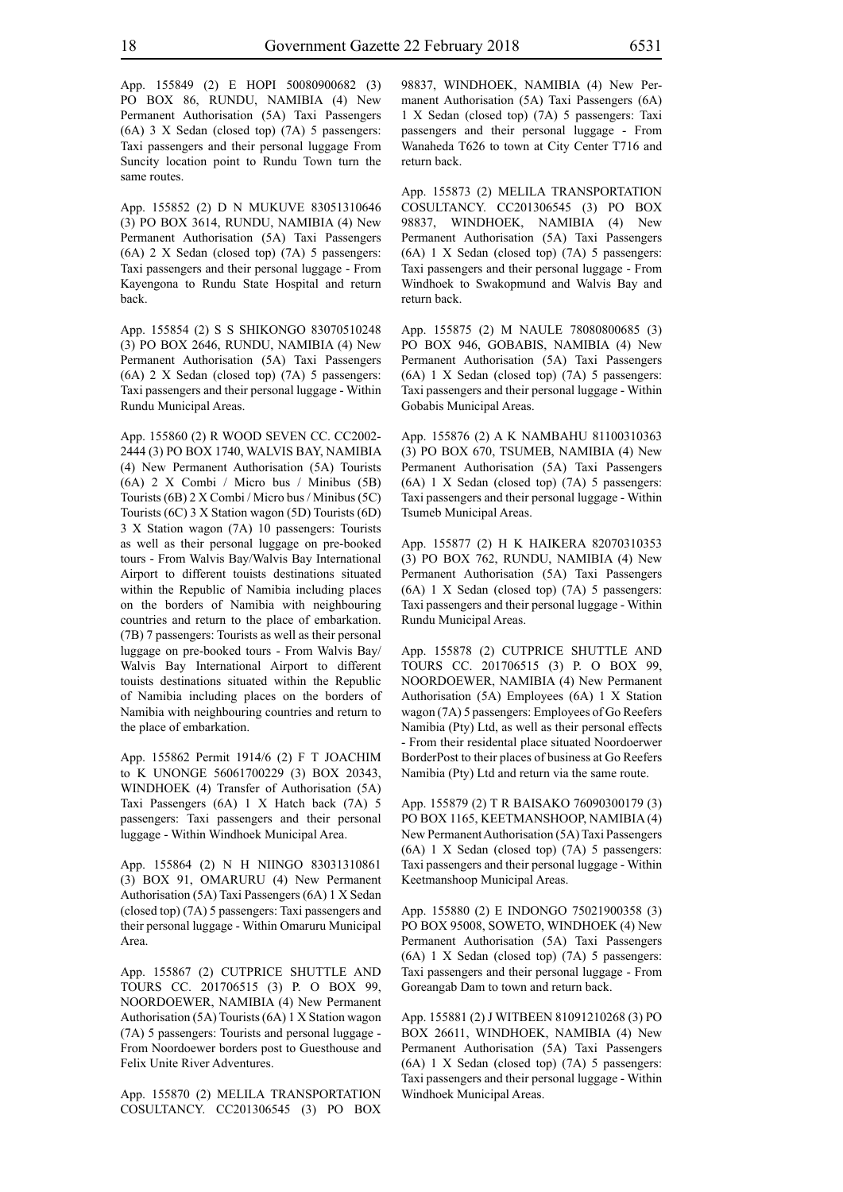App. 155849 (2) E HOPI 50080900682 (3) PO BOX 86, RUNDU, NAMIBIA (4) New Permanent Authorisation (5A) Taxi Passengers (6A) 3 X Sedan (closed top) (7A) 5 passengers: Taxi passengers and their personal luggage From Suncity location point to Rundu Town turn the same routes.

App. 155852 (2) D N MUKUVE 83051310646 (3) PO BOX 3614, RUNDU, NAMIBIA (4) New Permanent Authorisation (5A) Taxi Passengers (6A) 2 X Sedan (closed top) (7A) 5 passengers: Taxi passengers and their personal luggage - From Kayengona to Rundu State Hospital and return back.

App. 155854 (2) S S SHIKONGO 83070510248 (3) PO BOX 2646, RUNDU, NAMIBIA (4) New Permanent Authorisation (5A) Taxi Passengers (6A) 2 X Sedan (closed top) (7A) 5 passengers: Taxi passengers and their personal luggage - Within Rundu Municipal Areas.

App. 155860 (2) R WOOD SEVEN CC. CC2002- 2444 (3) PO BOX 1740, WALVIS BAY, NAMIBIA (4) New Permanent Authorisation (5A) Tourists (6A) 2 X Combi / Micro bus / Minibus (5B) Tourists (6B) 2 X Combi / Micro bus / Minibus (5C) Tourists (6C) 3 X Station wagon (5D) Tourists (6D) 3 X Station wagon (7A) 10 passengers: Tourists as well as their personal luggage on pre-booked tours - From Walvis Bay/Walvis Bay International Airport to different touists destinations situated within the Republic of Namibia including places on the borders of Namibia with neighbouring countries and return to the place of embarkation. (7B) 7 passengers: Tourists as well as their personal luggage on pre-booked tours - From Walvis Bay/ Walvis Bay International Airport to different touists destinations situated within the Republic of Namibia including places on the borders of Namibia with neighbouring countries and return to the place of embarkation.

App. 155862 Permit 1914/6 (2) F T JOACHIM to K UNONGE 56061700229 (3) BOX 20343, WINDHOEK (4) Transfer of Authorisation (5A) Taxi Passengers (6A) 1 X Hatch back (7A) 5 passengers: Taxi passengers and their personal luggage - Within Windhoek Municipal Area.

App. 155864 (2) N H NIINGO 83031310861 (3) BOX 91, OMARURU (4) New Permanent Authorisation (5A) Taxi Passengers (6A) 1 X Sedan (closed top) (7A) 5 passengers: Taxi passengers and their personal luggage - Within Omaruru Municipal Area.

App. 155867 (2) CUTPRICE SHUTTLE AND TOURS CC. 201706515 (3) P. O BOX 99, NOORDOEWER, NAMIBIA (4) New Permanent Authorisation (5A) Tourists (6A) 1 X Station wagon (7A) 5 passengers: Tourists and personal luggage - From Noordoewer borders post to Guesthouse and Felix Unite River Adventures.

App. 155870 (2) MELILA TRANSPORTATION COSULTANCY. CC201306545 (3) PO BOX 98837, WINDHOEK, NAMIBIA (4) New Permanent Authorisation (5A) Taxi Passengers (6A) 1 X Sedan (closed top) (7A) 5 passengers: Taxi passengers and their personal luggage - From Wanaheda T626 to town at City Center T716 and return back.

App. 155873 (2) MELILA TRANSPORTATION COSULTANCY. CC201306545 (3) PO BOX 98837, WINDHOEK, NAMIBIA (4) New Permanent Authorisation (5A) Taxi Passengers (6A) 1 X Sedan (closed top) (7A) 5 passengers: Taxi passengers and their personal luggage - From Windhoek to Swakopmund and Walvis Bay and return back.

App. 155875 (2) M NAULE 78080800685 (3) PO BOX 946, GOBABIS, NAMIBIA (4) New Permanent Authorisation (5A) Taxi Passengers (6A) 1 X Sedan (closed top) (7A) 5 passengers: Taxi passengers and their personal luggage - Within Gobabis Municipal Areas.

App. 155876 (2) A K NAMBAHU 81100310363 (3) PO BOX 670, TSUMEB, NAMIBIA (4) New Permanent Authorisation (5A) Taxi Passengers (6A) 1 X Sedan (closed top) (7A) 5 passengers: Taxi passengers and their personal luggage - Within Tsumeb Municipal Areas.

App. 155877 (2) H K HAIKERA 82070310353 (3) PO BOX 762, RUNDU, NAMIBIA (4) New Permanent Authorisation (5A) Taxi Passengers (6A) 1 X Sedan (closed top) (7A) 5 passengers: Taxi passengers and their personal luggage - Within Rundu Municipal Areas.

App. 155878 (2) CUTPRICE SHUTTLE AND TOURS CC. 201706515 (3) P. O BOX 99, NOORDOEWER, NAMIBIA (4) New Permanent Authorisation (5A) Employees (6A) 1 X Station wagon (7A) 5 passengers: Employees of Go Reefers Namibia (Pty) Ltd, as well as their personal effects - From their residental place situated Noordoerwer BorderPost to their places of business at Go Reefers Namibia (Pty) Ltd and return via the same route.

App. 155879 (2) T R BAISAKO 76090300179 (3) PO BOX 1165, KEETMANSHOOP, NAMIBIA (4) New Permanent Authorisation (5A) Taxi Passengers (6A) 1 X Sedan (closed top) (7A) 5 passengers: Taxi passengers and their personal luggage - Within Keetmanshoop Municipal Areas.

App. 155880 (2) E INDONGO 75021900358 (3) PO BOX 95008, SOWETO, WINDHOEK (4) New Permanent Authorisation (5A) Taxi Passengers (6A) 1 X Sedan (closed top) (7A) 5 passengers: Taxi passengers and their personal luggage - From Goreangab Dam to town and return back.

App. 155881 (2) J WITBEEN 81091210268 (3) PO BOX 26611, WINDHOEK, NAMIBIA (4) New Permanent Authorisation (5A) Taxi Passengers (6A) 1 X Sedan (closed top) (7A) 5 passengers: Taxi passengers and their personal luggage - Within Windhoek Municipal Areas.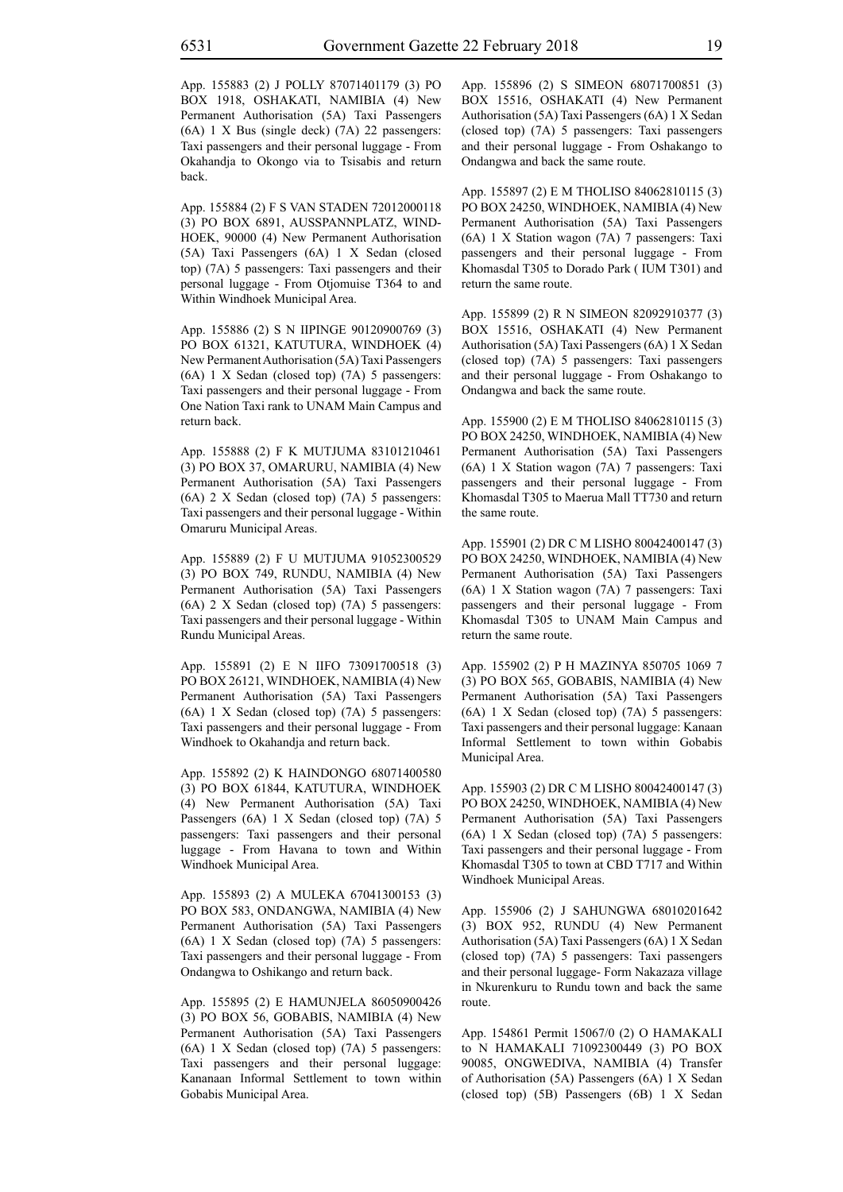App. 155883 (2) J POLLY 87071401179 (3) PO BOX 1918, OSHAKATI, NAMIBIA (4) New Permanent Authorisation (5A) Taxi Passengers (6A) 1 X Bus (single deck) (7A) 22 passengers: Taxi passengers and their personal luggage - From Okahandja to Okongo via to Tsisabis and return back.

App. 155884 (2) F S VAN STADEN 72012000118 (3) PO BOX 6891, AUSSPANNPLATZ, WIND-HOEK, 90000 (4) New Permanent Authorisation (5A) Taxi Passengers (6A) 1 X Sedan (closed top) (7A) 5 passengers: Taxi passengers and their personal luggage - From Otjomuise T364 to and Within Windhoek Municipal Area.

App. 155886 (2) S N IIPINGE 90120900769 (3) PO BOX 61321, KATUTURA, WINDHOEK (4) New Permanent Authorisation (5A) Taxi Passengers (6A) 1 X Sedan (closed top) (7A) 5 passengers: Taxi passengers and their personal luggage - From One Nation Taxi rank to UNAM Main Campus and return back.

App. 155888 (2) F K MUTJUMA 83101210461 (3) PO BOX 37, OMARURU, NAMIBIA (4) New Permanent Authorisation (5A) Taxi Passengers (6A) 2 X Sedan (closed top) (7A) 5 passengers: Taxi passengers and their personal luggage - Within Omaruru Municipal Areas.

App. 155889 (2) F U MUTJUMA 91052300529 (3) PO BOX 749, RUNDU, NAMIBIA (4) New Permanent Authorisation (5A) Taxi Passengers (6A) 2 X Sedan (closed top) (7A) 5 passengers: Taxi passengers and their personal luggage - Within Rundu Municipal Areas.

App. 155891 (2) E N IIFO 73091700518 (3) PO BOX 26121, WINDHOEK, NAMIBIA (4) New Permanent Authorisation (5A) Taxi Passengers (6A) 1 X Sedan (closed top) (7A) 5 passengers: Taxi passengers and their personal luggage - From Windhoek to Okahandja and return back.

App. 155892 (2) K HAINDONGO 68071400580 (3) PO BOX 61844, KATUTURA, WINDHOEK (4) New Permanent Authorisation (5A) Taxi Passengers (6A) 1 X Sedan (closed top) (7A) 5 passengers: Taxi passengers and their personal luggage - From Havana to town and Within Windhoek Municipal Area.

App. 155893 (2) A MULEKA 67041300153 (3) PO BOX 583, ONDANGWA, NAMIBIA (4) New Permanent Authorisation (5A) Taxi Passengers (6A) 1 X Sedan (closed top) (7A) 5 passengers: Taxi passengers and their personal luggage - From Ondangwa to Oshikango and return back.

App. 155895 (2) E HAMUNJELA 86050900426 (3) PO BOX 56, GOBABIS, NAMIBIA (4) New Permanent Authorisation (5A) Taxi Passengers (6A) 1 X Sedan (closed top) (7A) 5 passengers: Taxi passengers and their personal luggage: Kananaan Informal Settlement to town within Gobabis Municipal Area.

App. 155896 (2) S SIMEON 68071700851 (3) BOX 15516, OSHAKATI (4) New Permanent Authorisation (5A) Taxi Passengers (6A) 1 X Sedan (closed top) (7A) 5 passengers: Taxi passengers and their personal luggage - From Oshakango to Ondangwa and back the same route.

App. 155897 (2) E M THOLISO 84062810115 (3) PO BOX 24250, WINDHOEK, NAMIBIA (4) New Permanent Authorisation (5A) Taxi Passengers (6A) 1 X Station wagon (7A) 7 passengers: Taxi passengers and their personal luggage - From Khomasdal T305 to Dorado Park ( IUM T301) and return the same route.

App. 155899 (2) R N SIMEON 82092910377 (3) BOX 15516, OSHAKATI (4) New Permanent Authorisation (5A) Taxi Passengers (6A) 1 X Sedan (closed top) (7A) 5 passengers: Taxi passengers and their personal luggage - From Oshakango to Ondangwa and back the same route.

App. 155900 (2) E M THOLISO 84062810115 (3) PO BOX 24250, WINDHOEK, NAMIBIA (4) New Permanent Authorisation (5A) Taxi Passengers (6A) 1 X Station wagon (7A) 7 passengers: Taxi passengers and their personal luggage - From Khomasdal T305 to Maerua Mall TT730 and return the same route.

App. 155901 (2) DR C M LISHO 80042400147 (3) PO BOX 24250, WINDHOEK, NAMIBIA (4) New Permanent Authorisation (5A) Taxi Passengers (6A) 1 X Station wagon (7A) 7 passengers: Taxi passengers and their personal luggage - From Khomasdal T305 to UNAM Main Campus and return the same route.

App. 155902 (2) P H MAZINYA 850705 1069 7 (3) PO BOX 565, GOBABIS, NAMIBIA (4) New Permanent Authorisation (5A) Taxi Passengers (6A) 1 X Sedan (closed top) (7A) 5 passengers: Taxi passengers and their personal luggage: Kanaan Informal Settlement to town within Gobabis Municipal Area.

App. 155903 (2) DR C M LISHO 80042400147 (3) PO BOX 24250, WINDHOEK, NAMIBIA (4) New Permanent Authorisation (5A) Taxi Passengers (6A) 1 X Sedan (closed top) (7A) 5 passengers: Taxi passengers and their personal luggage - From Khomasdal T305 to town at CBD T717 and Within Windhoek Municipal Areas.

App. 155906 (2) J SAHUNGWA 68010201642 (3) BOX 952, RUNDU (4) New Permanent Authorisation (5A) Taxi Passengers (6A) 1 X Sedan (closed top) (7A) 5 passengers: Taxi passengers and their personal luggage- Form Nakazaza village in Nkurenkuru to Rundu town and back the same route.

App. 154861 Permit 15067/0 (2) O HAMAKALI to N HAMAKALI 71092300449 (3) PO BOX 90085, ONGWEDIVA, NAMIBIA (4) Transfer of Authorisation (5A) Passengers (6A) 1 X Sedan (closed top) (5B) Passengers (6B) 1 X Sedan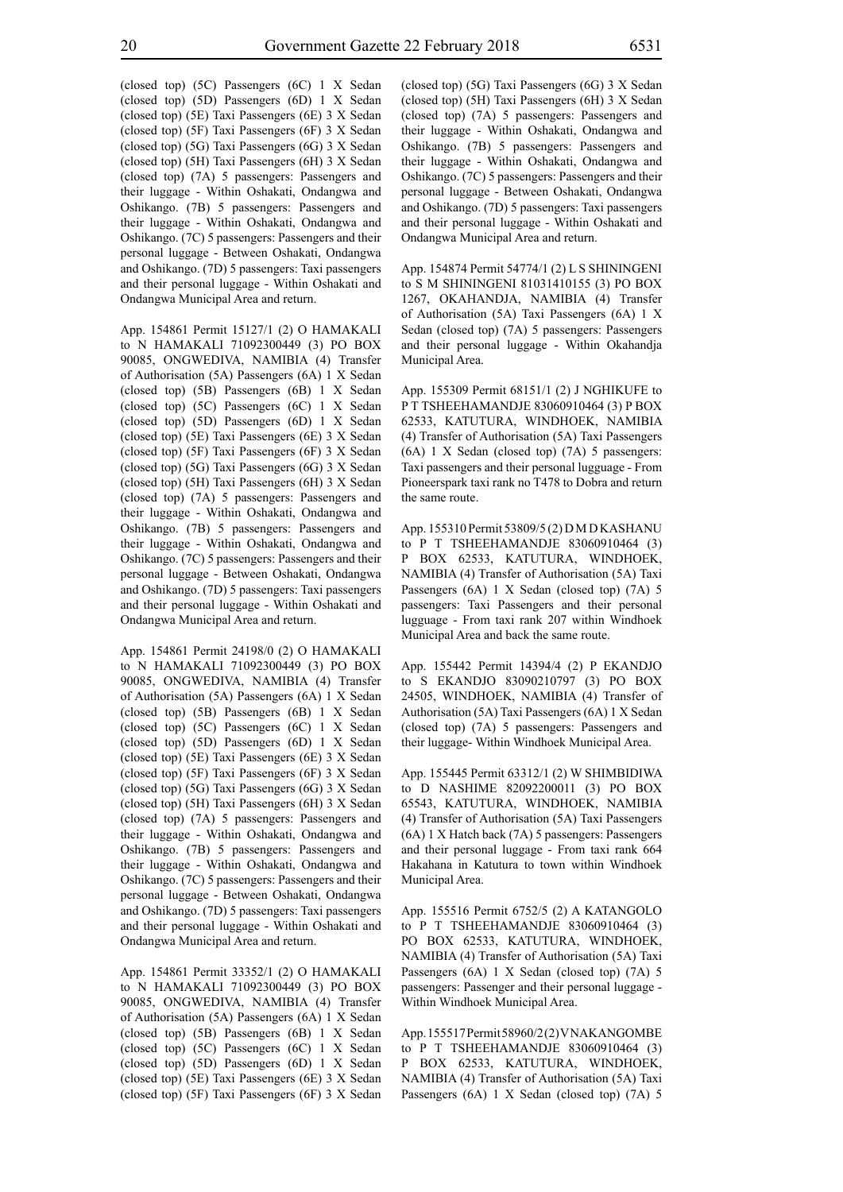(closed top) (5C) Passengers (6C) 1 X Sedan (closed top) (5D) Passengers (6D) 1 X Sedan (closed top) (5E) Taxi Passengers (6E) 3 X Sedan (closed top) (5F) Taxi Passengers (6F) 3 X Sedan (closed top) (5G) Taxi Passengers (6G) 3 X Sedan (closed top) (5H) Taxi Passengers (6H) 3 X Sedan (closed top) (7A) 5 passengers: Passengers and their luggage - Within Oshakati, Ondangwa and Oshikango. (7B) 5 passengers: Passengers and their luggage - Within Oshakati, Ondangwa and Oshikango. (7C) 5 passengers: Passengers and their personal luggage - Between Oshakati, Ondangwa and Oshikango. (7D) 5 passengers: Taxi passengers and their personal luggage - Within Oshakati and Ondangwa Municipal Area and return.

App. 154861 Permit 15127/1 (2) O HAMAKALI to N HAMAKALI 71092300449 (3) PO BOX 90085, ONGWEDIVA, NAMIBIA (4) Transfer of Authorisation (5A) Passengers (6A) 1 X Sedan (closed top) (5B) Passengers (6B) 1 X Sedan (closed top) (5C) Passengers (6C) 1 X Sedan (closed top) (5D) Passengers (6D) 1 X Sedan (closed top) (5E) Taxi Passengers (6E) 3 X Sedan (closed top) (5F) Taxi Passengers (6F) 3 X Sedan (closed top) (5G) Taxi Passengers (6G) 3 X Sedan (closed top) (5H) Taxi Passengers (6H) 3 X Sedan (closed top) (7A) 5 passengers: Passengers and their luggage - Within Oshakati, Ondangwa and Oshikango. (7B) 5 passengers: Passengers and their luggage - Within Oshakati, Ondangwa and Oshikango. (7C) 5 passengers: Passengers and their personal luggage - Between Oshakati, Ondangwa and Oshikango. (7D) 5 passengers: Taxi passengers and their personal luggage - Within Oshakati and Ondangwa Municipal Area and return.

App. 154861 Permit 24198/0 (2) O HAMAKALI to N HAMAKALI 71092300449 (3) PO BOX 90085, ONGWEDIVA, NAMIBIA (4) Transfer of Authorisation (5A) Passengers (6A) 1 X Sedan (closed top) (5B) Passengers (6B) 1 X Sedan (closed top) (5C) Passengers (6C) 1 X Sedan (closed top) (5D) Passengers (6D) 1 X Sedan (closed top) (5E) Taxi Passengers (6E) 3 X Sedan (closed top) (5F) Taxi Passengers (6F) 3 X Sedan (closed top) (5G) Taxi Passengers (6G) 3 X Sedan (closed top) (5H) Taxi Passengers (6H) 3 X Sedan (closed top) (7A) 5 passengers: Passengers and their luggage - Within Oshakati, Ondangwa and Oshikango. (7B) 5 passengers: Passengers and their luggage - Within Oshakati, Ondangwa and Oshikango. (7C) 5 passengers: Passengers and their personal luggage - Between Oshakati, Ondangwa and Oshikango. (7D) 5 passengers: Taxi passengers and their personal luggage - Within Oshakati and Ondangwa Municipal Area and return.

App. 154861 Permit 33352/1 (2) O HAMAKALI to N HAMAKALI 71092300449 (3) PO BOX 90085, ONGWEDIVA, NAMIBIA (4) Transfer of Authorisation (5A) Passengers (6A) 1 X Sedan (closed top) (5B) Passengers (6B) 1 X Sedan (closed top) (5C) Passengers (6C) 1 X Sedan (closed top) (5D) Passengers (6D) 1 X Sedan (closed top) (5E) Taxi Passengers (6E) 3 X Sedan (closed top) (5F) Taxi Passengers (6F) 3 X Sedan (closed top) (5G) Taxi Passengers (6G) 3 X Sedan (closed top) (5H) Taxi Passengers (6H) 3 X Sedan (closed top) (7A) 5 passengers: Passengers and their luggage - Within Oshakati, Ondangwa and Oshikango. (7B) 5 passengers: Passengers and their luggage - Within Oshakati, Ondangwa and Oshikango. (7C) 5 passengers: Passengers and their personal luggage - Between Oshakati, Ondangwa and Oshikango. (7D) 5 passengers: Taxi passengers and their personal luggage - Within Oshakati and Ondangwa Municipal Area and return.

App. 154874 Permit 54774/1 (2) L S SHININGENI to S M SHININGENI 81031410155 (3) PO BOX 1267, OKAHANDJA, NAMIBIA (4) Transfer of Authorisation (5A) Taxi Passengers (6A) 1 X Sedan (closed top) (7A) 5 passengers: Passengers and their personal luggage - Within Okahandja Municipal Area.

App. 155309 Permit 68151/1 (2) J NGHIKUFE to P T TSHEEHAMANDJE 83060910464 (3) P BOX 62533, KATUTURA, WINDHOEK, NAMIBIA (4) Transfer of Authorisation (5A) Taxi Passengers (6A) 1 X Sedan (closed top) (7A) 5 passengers: Taxi passengers and their personal lugguage - From Pioneerspark taxi rank no T478 to Dobra and return the same route.

App. 155310 Permit 53809/5 (2) D M D KASHANU to P T TSHEEHAMANDJE 83060910464 (3) P BOX 62533, KATUTURA, WINDHOEK, NAMIBIA (4) Transfer of Authorisation (5A) Taxi Passengers (6A) 1 X Sedan (closed top) (7A) 5 passengers: Taxi Passengers and their personal lugguage - From taxi rank 207 within Windhoek Municipal Area and back the same route.

App. 155442 Permit 14394/4 (2) P EKANDJO to S EKANDJO 83090210797 (3) PO BOX 24505, WINDHOEK, NAMIBIA (4) Transfer of Authorisation (5A) Taxi Passengers (6A) 1 X Sedan (closed top) (7A) 5 passengers: Passengers and their luggage- Within Windhoek Municipal Area.

App. 155445 Permit 63312/1 (2) W SHIMBIDIWA to D NASHIME 82092200011 (3) PO BOX 65543, KATUTURA, WINDHOEK, NAMIBIA (4) Transfer of Authorisation (5A) Taxi Passengers (6A) 1 X Hatch back (7A) 5 passengers: Passengers and their personal luggage - From taxi rank 664 Hakahana in Katutura to town within Windhoek Municipal Area.

App. 155516 Permit 6752/5 (2) A KATANGOLO to P T TSHEEHAMANDJE 83060910464 (3) PO BOX 62533, KATUTURA, WINDHOEK, NAMIBIA (4) Transfer of Authorisation (5A) Taxi Passengers (6A) 1 X Sedan (closed top) (7A) 5 passengers: Passenger and their personal luggage - Within Windhoek Municipal Area.

App. 155517 Permit 58960/2 (2) V NAKANGOMBE to P T TSHEEHAMANDJE 83060910464 (3) P BOX 62533, KATUTURA, WINDHOEK, NAMIBIA (4) Transfer of Authorisation (5A) Taxi Passengers (6A) 1 X Sedan (closed top) (7A) 5